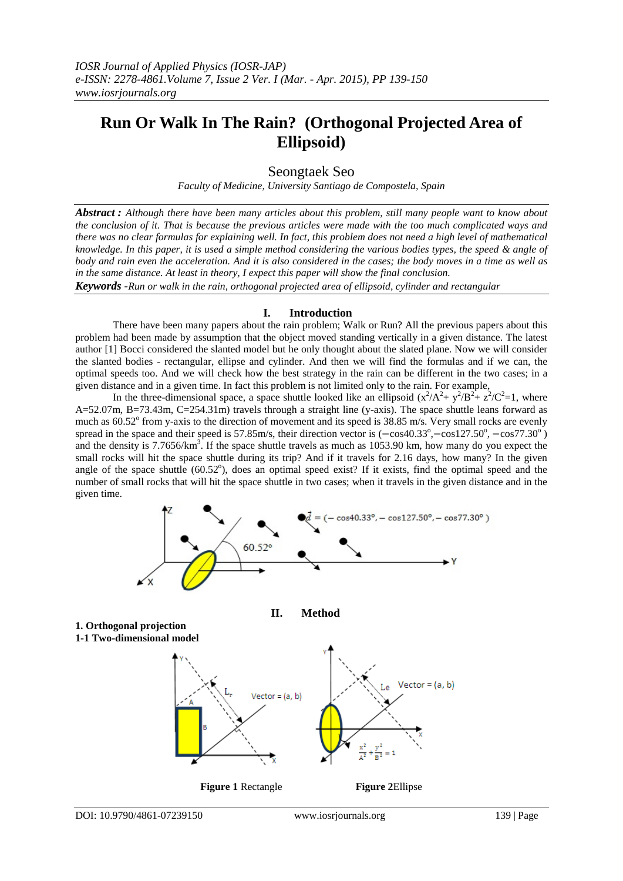# **Run Or Walk In The Rain? (Orthogonal Projected Area of Ellipsoid)**

Seongtaek Seo

*Faculty of Medicine, University Santiago de Compostela, Spain*

*Abstract : Although there have been many articles about this problem, still many people want to know about the conclusion of it. That is because the previous articles were made with the too much complicated ways and there was no clear formulas for explaining well. In fact, this problem does not need a high level of mathematical knowledge. In this paper, it is used a simple method considering the various bodies types, the speed & angle of body and rain even the acceleration. And it is also considered in the cases; the body moves in a time as well as in the same distance. At least in theory, I expect this paper will show the final conclusion.*

*Keywords -Run or walk in the rain, orthogonal projected area of ellipsoid, cylinder and rectangular*

### **I. Introduction**

There have been many papers about the rain problem; Walk or Run? All the previous papers about this problem had been made by assumption that the object moved standing vertically in a given distance. The latest author [1] Bocci considered the slanted model but he only thought about the slated plane. Now we will consider the slanted bodies - rectangular, ellipse and cylinder. And then we will find the formulas and if we can, the optimal speeds too. And we will check how the best strategy in the rain can be different in the two cases; in a given distance and in a given time. In fact this problem is not limited only to the rain. For example,

In the three-dimensional space, a space shuttle looked like an ellipsoid  $(x^2/A^2 + y^2/B^2 + z^2/C^2=1$ , where A=52.07m, B=73.43m, C=254.31m) travels through a straight line (y-axis). The space shuttle leans forward as much as  $60.52^{\circ}$  from y-axis to the direction of movement and its speed is 38.85 m/s. Very small rocks are evenly spread in the space and their speed is 57.85m/s, their direction vector is  $(-\cos 40.33^{\circ}, -\cos 127.50^{\circ}, -\cos 77.30^{\circ})$ and the density is  $7.7656/km<sup>3</sup>$ . If the space shuttle travels as much as  $1053.90$  km, how many do you expect the small rocks will hit the space shuttle during its trip? And if it travels for 2.16 days, how many? In the given angle of the space shuttle  $(60.52^{\circ})$ , does an optimal speed exist? If it exists, find the optimal speed and the number of small rocks that will hit the space shuttle in two cases; when it travels in the given distance and in the given time.

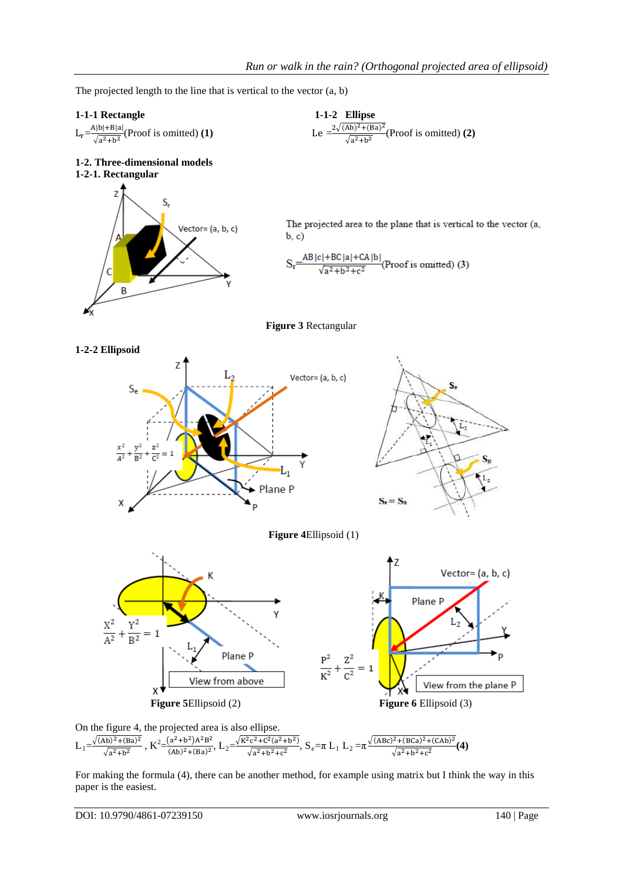The projected length to the line that is vertical to the vector (a, b)

Vector= (a, b, c)



**1-2-1. Rectangular** 

B

 $L_r = \frac{A|b|+B|a|}{\sqrt{a^2+b^2}}$  (Proof is omitted) **(1)** Le

**1-2. Three-dimensional models**

S,

 $\frac{2\sqrt{(Ab)^2 + (Ba)^2}}{\sqrt{a^2 + b^2}}$  (Proof is omitted) **(2)** 

The projected area to the plane that is vertical to the vector (a,  $$ 

 $S_r \frac{-AB|c|+BC|a|+CA|b|}{\sqrt{a^2+b^2+c^2}} (Proof is omitted) (3)$ 







**Figure 4**Ellipsoid (1)





For making the formula (4), there can be another method, for example using matrix but I think the way in this paper is the easiest.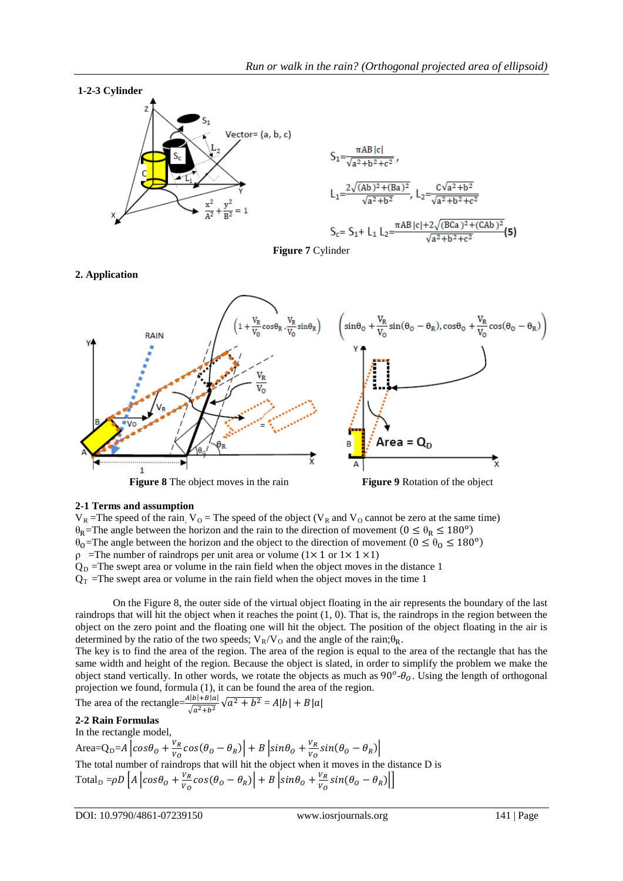

**Figure 7** Cylinder

### **2. Application**



### **2-1 Terms and assumption**

 $V_R$  =The speed of the rain,  $V_O$  = The speed of the object ( $V_R$  and  $V_O$  cannot be zero at the same time)  $\theta_R$ =The angle between the horizon and the rain to the direction of movement ( $0 \le \theta_R \le 180^\circ$ )  $\theta_0$ =The angle between the horizon and the object to the direction of movement ( $0 \le \theta_0 \le 180^\circ$ )  $ρ$  =The number of raindrops per unit area or volume (1× 1 or 1× 1 × 1)  $Q_D$  =The swept area or volume in the rain field when the object moves in the distance 1  $Q_T$  =The swept area or volume in the rain field when the object moves in the time 1

On the Figure 8, the outer side of the virtual object floating in the air represents the boundary of the last raindrops that will hit the object when it reaches the point  $(1, 0)$ . That is, the raindrops in the region between the object on the zero point and the floating one will hit the object. The position of the object floating in the air is determined by the ratio of the two speeds;  $V_R/V_Q$  and the angle of the rain; $\theta_R$ .

The key is to find the area of the region. The area of the region is equal to the area of the rectangle that has the same width and height of the region. Because the object is slated, in order to simplify the problem we make the object stand vertically. In other words, we rotate the objects as much as  $90^\circ$ - $\theta_o$ . Using the length of orthogonal projection we found, formula (1), it can be found the area of the region.

The area of the rectangle= $\frac{A|b|+|B|a|}{\sqrt{a^2+b^2}} \sqrt{a^2+b^2} = A|b| + B|a|$ 

## **2-2 Rain Formulas**

In the rectangle model,

Area=Q<sub>D</sub>=A  $\left| \cos \theta_0 + \frac{v_R}{v_o} \cos (\theta_0 - \theta_R) \right| + B \left| \sin \theta_0 + \frac{v_R}{v_o} \sin (\theta_0 - \theta_R) \right|$ The total number of raindrops that will hit the object when it moves in the distance D is Total<sub>D</sub> =  $\rho D$   $\left[A \left| \cos \theta_0 + \frac{V_R}{V_O} \cos (\theta_0 - \theta_R) \right| + B \left| \sin \theta_0 + \frac{V_R}{V_O} \sin (\theta_0 - \theta_R) \right| \right]$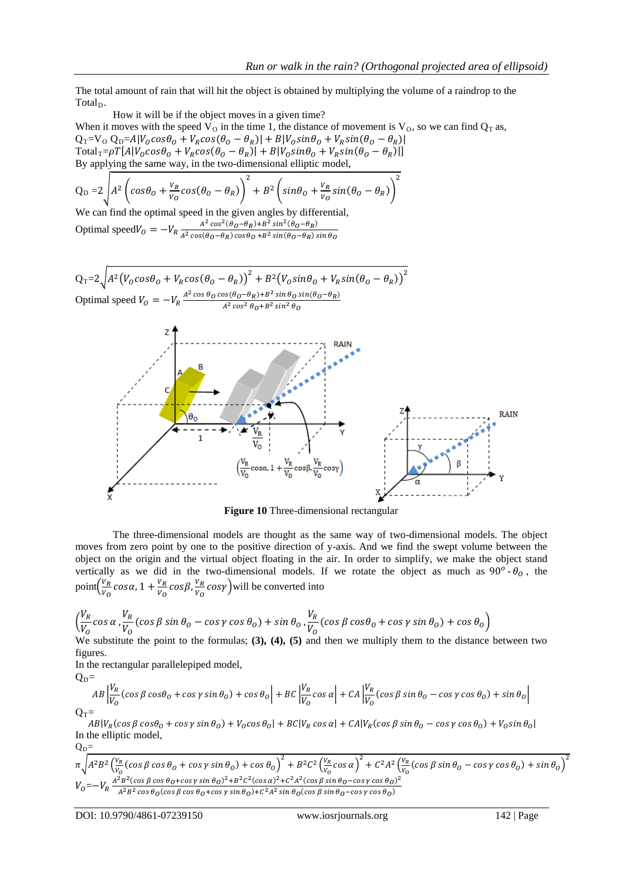The total amount of rain that will hit the object is obtained by multiplying the volume of a raindrop to the Total<sub>D</sub>.

How it will be if the object moves in a given time? When it moves with the speed  $V_{O}$  in the time 1, the distance of movement is  $V_{O}$ , so we can find  $Q_{T}$  as,  $Q_T=V_O Q_D=AlV_0cos\theta_0 + V_Rcos(\theta_0 - \theta_R) + BlV_0sin\theta_0 + V_Rsin(\theta_0 - \theta_R)$  $\text{Total}_{\text{T}}=\rho T[A|V_Ocos\theta_O+V_Rcos(\theta_O-\theta_R)|+B|V_Osin\theta_O+V_Rsin(\theta_O-\theta_R)|]$ By applying the same way, in the two-dimensional elliptic model,

$$
Q_D = 2\sqrt{A^2 \left(\cos\theta_o + \frac{v_R}{v_o}\cos(\theta_o - \theta_R)\right)^2 + B^2 \left(\sin\theta_o + \frac{v_R}{v_o}\sin(\theta_o - \theta_R)\right)^2}
$$

We can find the optimal speed in the given angles by differential, Optimal speed  $V_0 = -V_R \frac{A^2 \cos^2(\theta_0 - \theta_R) + B^2 \sin^2(\theta_0 - \theta_R)}{A^2 \cos(\theta_0 - \theta_R) \cos\theta_0 + B^2 \sin(\theta_0 - \theta_R)}$  $A^2$  cos( $\theta$ O− $\theta$ R) cos $\theta$ O +B<sup>2</sup> sin( $\theta$ O− $\theta$ R) sin  $\theta$ O

$$
Q_T = 2\sqrt{A^2(V_0 \cos \theta_0 + V_R \cos(\theta_0 - \theta_R))^{2} + B^2(V_0 \sin \theta_0 + V_R \sin(\theta_0 - \theta_R))^{2}}
$$
  
Optimal speed  $V_0 = -V_R \frac{A^2 \cos \theta_0 \cos(\theta_0 - \theta_R) + B^2 \sin \theta_0 \sin(\theta_0 - \theta_R)}{A^2 \cos^2 \theta_0 + B^2 \sin^2 \theta_0}$ 



**Figure 10** Three-dimensional rectangular

The three-dimensional models are thought as the same way of two-dimensional models. The object moves from zero point by one to the positive direction of y-axis. And we find the swept volume between the object on the origin and the virtual object floating in the air. In order to simplify, we make the object stand vertically as we did in the two-dimensional models. If we rotate the object as much as  $90^\circ$ - $\theta_0$ , the point $\left(\frac{v_R}{v_Q}\right)$  $\frac{V_R}{V_O}$ cos $\alpha$ , 1 +  $\frac{V_R}{V_O}$ cos $\beta$ , $\frac{V_R}{V_O}$  $\frac{v_R}{v_o}$  cosy ) will be converted into

$$
\left(\frac{V_R}{V_O}\cos\alpha,\frac{V_R}{V_O}\left(\cos\beta\sin\theta_0-\cos\gamma\cos\theta_0\right)+\sin\theta_0,\frac{V_R}{V_O}\left(\cos\beta\cos\theta_0+\cos\gamma\sin\theta_0\right)+\cos\theta_0\right)
$$

We substitute the point to the formulas; **(3), (4), (5)** and then we multiply them to the distance between two figures.

In the rectangular parallelepiped model,  $\Omega$ 

$$
AB\frac{|V_R|}{|V_O}(\cos\beta\cos\theta_0 + \cos\gamma\sin\theta_0) + \cos\theta_0\Big| + BC\frac{|V_R|}{|V_O}\cos\alpha\Big| + CA\frac{|V_R|}{|V_O}(\cos\beta\sin\theta_0 - \cos\gamma\cos\theta_0) + \sin\theta_0\Big|
$$
  
Q<sub>T</sub>=

 $AB|V_R(\cos\beta\cos\theta_0+\cos\gamma\sin\theta_0)+V_0\cos\theta_0|+BC|V_R\cos\alpha|+CA|V_R(\cos\beta\sin\theta_0-\cos\gamma\cos\theta_0)+V_0\sin\theta_0|$ In the elliptic model,

 $Q_D=$  $\pi\sqrt{A^2B^2\left(\frac{V_R}{V_Q}\right)}$  $\frac{v_R}{v_O}$  (cos  $\beta$  cos  $\theta_O$  + cos  $\gamma$  sin  $\theta_O$ ) + cos  $\theta_O$ )<sup>2</sup> + B<sup>2</sup>C<sup>2</sup> ( $\frac{v_R}{v_O}$  $\frac{V_R}{V_O} \cos \alpha$ )<sup>2</sup> + C<sup>2</sup>A<sup>2</sup> ( $\frac{V_R}{V_O}$  $\frac{V_R}{V_O}$  (cos  $\beta$  sin  $\theta_O - \cos \gamma \cos \theta_O$ ) + sin  $\theta_O$ )<sup>2</sup>  $V_0 = -V_R \frac{A^2 B^2 (\cos \beta \cos \theta_0 + \cos \gamma \sin \theta_0)^2 + B^2 C^2 (\cos \alpha)^2 + C^2 A^2 (\cos \beta \sin \theta_0 - \cos \gamma \cos \theta_0)^2}{A^2 B^2 \cos \theta_0 (\cos \beta \cos \theta_0 + \cos \gamma \sin \theta_0) + C^2 A^2 \sin \theta_0 (\cos \beta \sin \theta_0 - \cos \gamma \cos \theta_0)}$  $A^2B^2$  cos  $\theta_0$ (cos  $\beta$  cos  $\theta_0$ +cos  $\gamma$  sin  $\theta_0$ )+C<sup>2</sup>A<sup>2</sup> sin  $\theta_0$ (cos  $\beta$  sin  $\theta_0$ –cos  $\gamma$  cos  $\theta_0$ )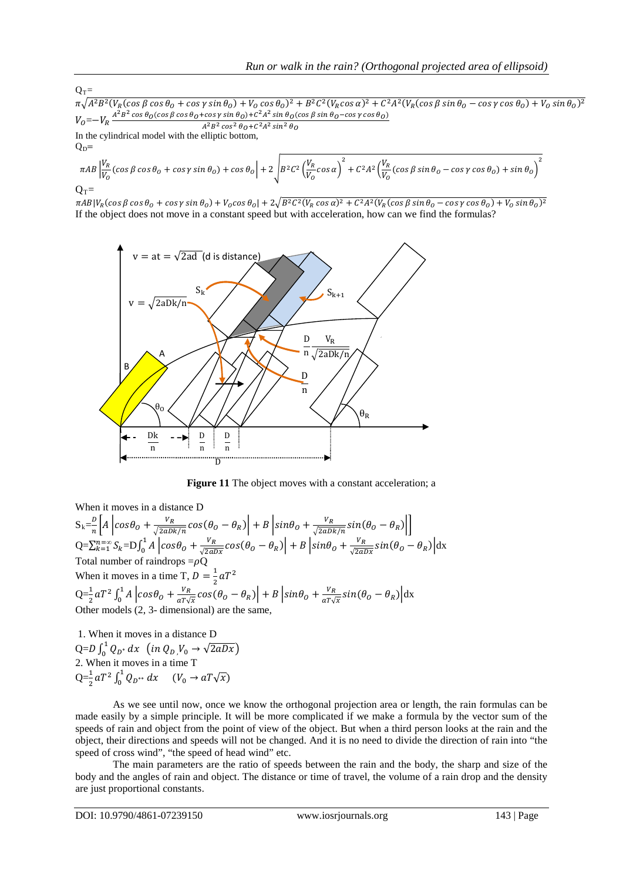$Q_T=$  $\pi\sqrt{A^2B^2(V_R(\cos\beta\cos\theta_0+\cos\gamma\sin\theta_0)+V_0\cos\theta_0)^2+B^2C^2(V_R\cos\alpha)^2+C^2A^2(V_R(\cos\beta\sin\theta_0-\cos\gamma\cos\theta_0)+V_0\sin\theta_0)^2}$  $V_0\!\!=\!\!-V_R\frac{A^2B^2\cos\theta_O(\cos\beta\cos\theta_O+\cos\gamma\sin\theta_O)+C^2A^2\sin\theta_O(\cos\beta\sin\theta_O-\cos\gamma\cos\theta_O)}{A^2B^2\cos^2\theta_O+C^2A^2\sin^2\theta_O}$  $A^2B^2\cos^2\theta_0 + C^2A^2\sin^2\theta_0$ 

In the cylindrical model with the elliptic bottom,  $Q_D=$ 

$$
\pi AB \left| \frac{V_R}{V_O} (\cos \beta \cos \theta_o + \cos \gamma \sin \theta_o) + \cos \theta_o \right| + 2 \sqrt{B^2 C^2 \left( \frac{V_R}{V_O} \cos \alpha \right)^2 + C^2 A^2 \left( \frac{V_R}{V_O} (\cos \beta \sin \theta_o - \cos \gamma \cos \theta_o) + \sin \theta_o \right)^2}
$$
  
Q<sub>T</sub>=

 $\pi AB|V_R(\cos\beta\cos\theta_o+\cos\gamma\sin\theta_o)+V_o\cos\theta_o|+2\sqrt{B^2C^2(V_R\cos\alpha)^2+C^2A^2(V_R(\cos\beta\sin\theta_o-\cos\gamma\cos\theta_o)+V_o\sin\theta_o)^2}$ If the object does not move in a constant speed but with acceleration, how can we find the formulas?



**Figure 11** The object moves with a constant acceleration; a

When it moves in a distance D  $S_k = \frac{b}{n} \left[ A \left[ cos \theta_0 + \frac{v_R}{\sqrt{2aDk/n}} cos(\theta_0 - \theta_R) \right] + B \left[ sin \theta_0 + \frac{v_R}{\sqrt{2aDk/n}} sin(\theta_0 - \theta_R) \right] \right]$  $Q = \sum_{k=1}^{n=\infty} S_k = D \int_0^1 A \left[ cos \theta_0 + \frac{v_R}{\sqrt{2aDx}} cos(\theta_0 - \theta_R) \right] + B \left[ sin \theta_0 + \frac{v_R}{\sqrt{2aDx}} sin(\theta_0 - \theta_R) \right] dx$ Total number of raindrops  $=\rho Q$ When it moves in a time T,  $D = \frac{1}{2} aT^2$  $Q = \frac{1}{2} aT^2 \int_0^1 A \left[ cos \theta_0 + \frac{V_R}{aT\sqrt{x}} cos(\theta_0 - \theta_R) \right] + B \left[ sin \theta_0 + \frac{V_R}{aT\sqrt{x}} sin(\theta_0 - \theta_R) \right] dx$ Other models (2, 3- dimensional) are the same,

1. When it moves in a distance D  $Q = D \int_0^1 Q_{D^*} dx$  (in  $Q_{D} V_0 \rightarrow \sqrt{2aDx}$ ) 2. When it moves in a time T  $Q = \frac{1}{2} a T^2 \int_0^1 Q_{D^{**}} dx$   $(V_0 \to a T \sqrt{x})$ 

As we see until now, once we know the orthogonal projection area or length, the rain formulas can be made easily by a simple principle. It will be more complicated if we make a formula by the vector sum of the speeds of rain and object from the point of view of the object. But when a third person looks at the rain and the object, their directions and speeds will not be changed. And it is no need to divide the direction of rain into "the speed of cross wind", "the speed of head wind" etc.

The main parameters are the ratio of speeds between the rain and the body, the sharp and size of the body and the angles of rain and object. The distance or time of travel, the volume of a rain drop and the density are just proportional constants.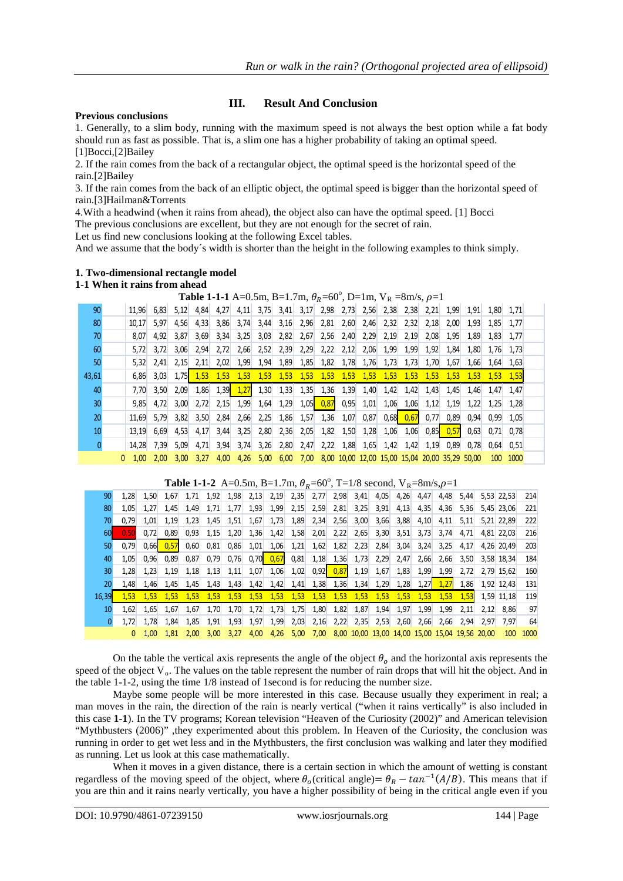## **III. Result And Conclusion**

#### **Previous conclusions**

1. Generally, to a slim body, running with the maximum speed is not always the best option while a fat body should run as fast as possible. That is, a slim one has a higher probability of taking an optimal speed. [1]Bocci,[2]Bailey

2. If the rain comes from the back of a rectangular object, the optimal speed is the horizontal speed of the rain.[2]Bailey

3. If the rain comes from the back of an elliptic object, the optimal speed is bigger than the horizontal speed of rain.[3]Hailman&Torrents

4.With a headwind (when it rains from ahead), the object also can have the optimal speed. [1] Bocci The previous conclusions are excellent, but they are not enough for the secret of rain.

Let us find new conclusions looking at the following Excel tables.

And we assume that the body´s width is shorter than the height in the following examples to think simply.

### **1. Two-dimensional rectangle model**

#### **1-1 When it rains from ahead**

|              |   |       |      |      |      |      | <b>Table 1-1-1</b> A=0.5m, B=1.7m, $\theta_R$ =60°, D=1m, V <sub>R</sub> =8m/s, $\rho$ =1 |           |      |                       |      |      |             |      |               |      |                                                |      |            |           |  |
|--------------|---|-------|------|------|------|------|-------------------------------------------------------------------------------------------|-----------|------|-----------------------|------|------|-------------|------|---------------|------|------------------------------------------------|------|------------|-----------|--|
| 90           |   | 11.96 | 6.83 | 5.12 | 4.84 | 4.27 |                                                                                           |           |      | $4,11$ 3,75 3,41 3,17 | 2,98 |      | $2,73$ 2,56 |      | $2,38$ 2,38   | 2,21 | 1,99                                           | 1,91 |            | 1.80 1.71 |  |
| 80           |   | 10.17 | 5.97 | 4.56 | 4,33 | 3.86 | 3.74                                                                                      | 3,44      | 3,16 | 2,96                  | 2,81 | 2,60 | 2,46        | 2,32 | 2,32          | 2.18 | 2.00                                           | 1.93 | 1.85       | 1.77      |  |
| 70           |   | 8.07  | 4.92 | 3,87 | 3,69 | 3,34 | 3,25                                                                                      | 3,03      | 2,82 | 2,67                  | 2,56 | 2,40 | 2,29        | 2,19 | 2,19          | 2,08 | 1,95                                           | 1,89 | 1,83       | 1,77      |  |
| 60           |   | 5.72  | 3.72 | 3,06 | 2,94 | 2,72 | 2,66                                                                                      | 2,52      | 2,39 | 2,29                  | 2,22 | 2,12 | 2,06        | 1,99 | 1,99          | 1,92 | 1,84                                           | 1,80 | 1,76       | 1,73      |  |
| 50           |   | 5.32  | 2,41 | 2,15 | 2,11 | 2,02 | 1,99                                                                                      | 1,94      | 1,89 | 1,85                  | 1,82 | 1,78 | 1,76        | 1,73 | 1,73          | 1,70 | 1,67                                           | 1,66 | 1,64       | 1,63      |  |
| 43,61        |   | 6.86  | 3,03 | 1,75 | 1,53 | 1,53 | 1,53                                                                                      | 1,53      | 1,53 | 1,53                  | 1,53 | 1,53 | 1,53        | 1,53 | 1,53          | 1,53 | 1,53                                           | 1.53 | 1,53       | 1,53      |  |
| 40           |   | 7,70  | 3,50 | 2,09 | 1,86 | 1,39 | 1,27                                                                                      | 1,30      | 1,33 | 1,35                  | 1,36 | 1,39 | 1,40        | 1,42 | 1,42          | 1,43 | 1,45                                           | 1,46 | 1,47       | 1,47      |  |
| 30           |   | 9.85  | 4.72 | 3,00 | 2,72 | 2,15 | 1,99                                                                                      | 1,64      | 1,29 | 1,05                  | 0,87 | 0,95 | 1,01        | 1,06 | 1,06          | 1,12 | 1,19                                           | 1,22 | 1,25       | 1,28      |  |
| 20           |   | 11,69 | 5,79 | 3,82 | 3,50 | 2,84 | 2,66                                                                                      | 2,25      | 1,86 | 1,57                  | 1,36 | 1,07 | 0,87        | 0,68 | 0,67          | 0,77 | 0,89                                           | 0,94 | 0,99       | 1,05      |  |
| 10           |   | 13.19 | 6,69 | 4,53 | 4,17 | 3,44 | 3,25                                                                                      | 2,80      | 2,36 | 2,05                  | 1,82 | 1,50 | 1,28        | 1,06 | 1,06          | 0.85 | 0,57                                           | 0,63 | 0,71       | 0,78      |  |
| $\mathbf{0}$ |   | 14,28 | 7,39 | 5,09 | 4,71 | 3,94 | 3,74                                                                                      | 3,26      |      | $2,80$ 2,47           | 2,22 | 1,88 | 1,65        |      | $1,42$ $1,42$ | 1,19 | 0,89                                           | 0.78 | 0.64       | 0.51      |  |
|              | 0 | 1.00  | 2.00 | 3.00 | 3.27 | 4,00 |                                                                                           | 4,26 5,00 |      | 6,00 7,00             |      |      |             |      |               |      | 8,00 10,00 12,00 15,00 15,04 20,00 35,29 50,00 |      | <b>100</b> | 1000      |  |

|       |      |      |      |      |                   |      |      |                     |      |      |      |      |      | <b>Table 1-1-2</b> A=0.5m, B=1.7m, $\theta_R$ =60°, T=1/8 second, V <sub>R</sub> =8m/s, $\rho$ =1 |      |      |      |      |              |      |
|-------|------|------|------|------|-------------------|------|------|---------------------|------|------|------|------|------|---------------------------------------------------------------------------------------------------|------|------|------|------|--------------|------|
| 90    | 1,28 | 1,50 | 1,67 | 1,71 | 1,92              | 1,98 | 2,13 | 2,19                | 2,35 | 2,77 | 2,98 | 3,41 | 4,05 | 4,26                                                                                              | 4,47 | 4,48 | 5.44 |      | $5.53$ 22.53 | 214  |
| 80    | 1.05 | 1,27 | 1.45 | 1,49 | 1,71              | 1,77 | 1,93 | 1,99                | 2,15 | 2,59 | 2,81 | 3,25 | 3,91 | 4,13                                                                                              | 4,35 | 4,36 | 5,36 |      | 5.45 23.06   | 221  |
| 70    | 0,79 | 1,01 | 1,19 | 1,23 | 1,45              | 1,51 | 1,67 | 1,73                | 1,89 | 2,34 | 2,56 | 3,00 | 3,66 | 3,88                                                                                              | 4,10 | 4,11 | 5,11 |      | 5,21 22,89   | 222  |
| 60    | 0,50 | 0.72 | 0,89 | 0,93 | 1,15              | 1,20 | 1,36 | 1,42                | 1,58 | 2,01 | 2,22 | 2,65 | 3,30 | 3,51                                                                                              | 3,73 | 3,74 | 4.71 |      | 4.81 22.03   | 216  |
| 50    | 0,79 | 0.66 | 0.57 | 0,60 | 0,81              | 0,86 | 1,01 | 1,06                | 1,21 | 1,62 | 1,82 | 2,23 | 2,84 | 3,04                                                                                              | 3,24 | 3,25 | 4,17 |      | 4,26 20,49   | 203  |
| 40    | 1.05 | 0.96 | 0.89 | 0,87 | 0.79              | 0.76 | 0,70 | 0,67                | 0,81 | 1,18 | 1,36 | 1,73 | 2,29 | 2,47                                                                                              | 2,66 | 2,66 | 3,50 |      | 3.58 18.34   | 184  |
| 30    | 1,28 | 1,23 | 1,19 | 1,18 | 1,13              | 1,11 | 1,07 | 1,06                | 1,02 | 0.92 | 0,87 | 1,19 | 1,67 | 1,83                                                                                              | 1,99 | 1,99 | 2,72 |      | 2.79 15.62   | 160  |
| 20    | 1.48 | 1,46 | 1.45 | 1.45 | 1.43              | 1,43 | 1,42 | 1,42                | 1,41 | 1,38 | 1,36 | 1,34 | 1,29 | 1,28                                                                                              | 1,27 | 1.27 | 1,86 |      | 1,92 12,43   | 131  |
| 16.39 | 1.53 | 1.53 | 1.53 | 1.53 | 1.53              | 1.53 | 1,53 | 1,53                | 1,53 | 1,53 | 1,53 | 1,53 | 1,53 | 1,53                                                                                              | 1,53 | 1,53 | 1,53 |      | 1.59 11.18   | 119  |
| 10    | 1.62 | 1,65 | 1.67 | 1,67 | 1,70              | 1,70 | 1,72 | 1,73                | 1,75 | 1,80 | 1,82 | 1,87 | 1,94 | 1,97                                                                                              | 1,99 | 1,99 | 2,11 | 2.12 | 8.86         | 97   |
|       | 1,72 | 1,78 | 1,84 | 1,85 | 1,91              | 1,93 | 1,97 | 1,99                | 2,03 | 2,16 | 2,22 | 2,35 | 2,53 | 2,60                                                                                              | 2,66 | 2,66 | 2,94 | 2,97 | 7,97         | 64   |
|       | 0    | 1.00 | 1.81 | 2.00 | 3.00 <sub>1</sub> | 3,27 |      | 4,00 4,26 5,00 7,00 |      |      |      |      |      | 8,00 10,00 13,00 14,00 15,00 15,04 19,56 20,00                                                    |      |      |      |      | <b>100</b>   | 1000 |

On the table the vertical axis represents the angle of the object  $\theta_0$  and the horizontal axis represents the speed of the object  $V_0$ . The values on the table represent the number of rain drops that will hit the object. And in the table 1-1-2, using the time 1/8 instead of 1second is for reducing the number size.

Maybe some people will be more interested in this case. Because usually they experiment in real; a man moves in the rain, the direction of the rain is nearly vertical ("when it rains vertically" is also included in this case **1-1**). In the TV programs; Korean television "Heaven of the Curiosity (2002)" and American television "Mythbusters (2006)" ,they experimented about this problem. In Heaven of the Curiosity, the conclusion was running in order to get wet less and in the Mythbusters, the first conclusion was walking and later they modified as running. Let us look at this case mathematically.

When it moves in a given distance, there is a certain section in which the amount of wetting is constant regardless of the moving speed of the object, where  $\theta_o$  (critical angle)=  $\theta_R - \tan^{-1}(A/B)$ . This means that if you are thin and it rains nearly vertically, you have a higher possibility of being in the critical angle even if you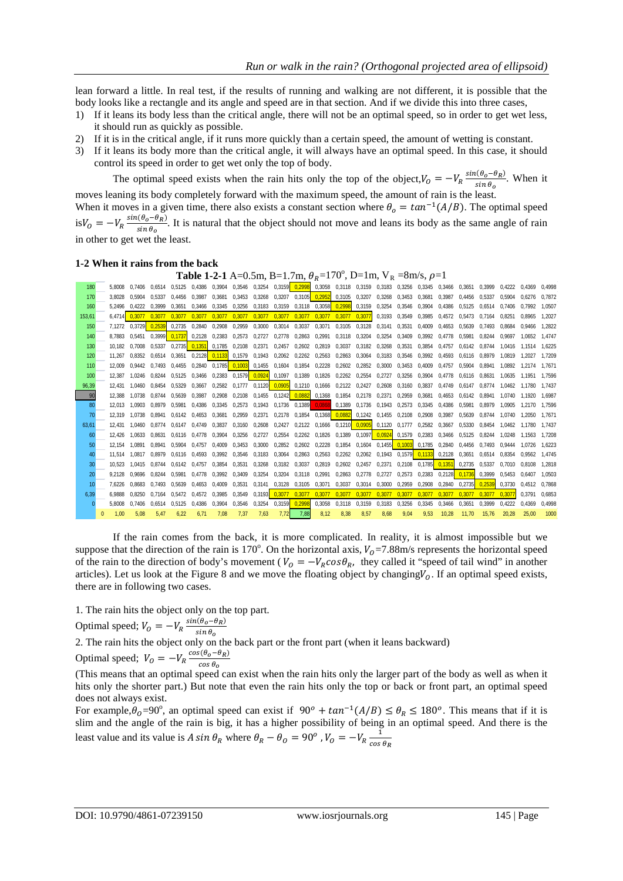lean forward a little. In real test, if the results of running and walking are not different, it is possible that the body looks like a rectangle and its angle and speed are in that section. And if we divide this into three cases,

- 1) If it leans its body less than the critical angle, there will not be an optimal speed, so in order to get wet less, it should run as quickly as possible.
- 2) If it is in the critical angle, if it runs more quickly than a certain speed, the amount of wetting is constant.
- 3) If it leans its body more than the critical angle, it will always have an optimal speed. In this case, it should control its speed in order to get wet only the top of body.

The optimal speed exists when the rain hits only the top of the object,  $V_0 = -V_R \frac{\sin(\theta_o - \theta_R)}{\sin \theta_o}$  $\frac{\cos \theta}{\sin \theta_0}$ . When it moves leaning its body completely forward with the maximum speed, the amount of rain is the least.

When it moves in a given time, there also exists a constant section where  $\theta_o = \tan^{-1}(A/B)$ . The optimal speed  $\mathrm{i} s V_0 = -V_R \frac{\sin(\theta_0 - \theta_R)}{\sin \theta_0}$  $\frac{\cos \theta - \kappa}{\sin \theta_0}$ . It is natural that the object should not move and leans its body as the same angle of rain in other to get wet the least.

#### **1-2 When it rains from the back**

**Table 1-2-1** A=0.5m, B=1.7m,  $\theta_R$ =170°, D=1m, V<sub>R</sub> =8m/s,  $\rho$ =1

| 180              | 5.8008 | 0.7406 | 0.6514 | 0.5125 | 0.4386 | 0.3904                         | 0.3546 0.3254 |                        |               | 0.3159 0.2998        | 0.3058        | 0,3118 0,3159 0,3183                           |               |                      | 0.3256        | 0.3345 | 0.3466 | 0.3651        | 0.3999 | 0.4222 | 0.4369 | 0.4998           |
|------------------|--------|--------|--------|--------|--------|--------------------------------|---------------|------------------------|---------------|----------------------|---------------|------------------------------------------------|---------------|----------------------|---------------|--------|--------|---------------|--------|--------|--------|------------------|
| 170              | 3.8028 | 0.5904 | 0.5337 | 0.4456 | 0.3987 | 0.3681                         | 0.3453        | 0.3268                 | 0.3207        | 0.3105               | 0.2952        | 0.3105                                         | 0.3207        | 0.3268               | 0.3453        | 0.3681 | 0.3987 | 0.4456        | 0.5337 | 0.5904 | 0.6276 | 0.7872           |
| 160              | 5.2496 | 0.4222 | 0.3999 | 0.3651 | 0.3466 | 0.3345                         | 0.3256 0.3183 |                        | 0.3159        |                      | 0.3118 0.3058 | 0.2998                                         | 0.3159        | 0.3254               | 0.3546        | 0.3904 | 0.4386 | 0.5125        | 0.6514 | 0.7406 | 0.7992 | 1.0507           |
| 153.61           | 6.4714 | 0.3077 | 0.3077 | 0.3077 | 0.3077 | 0.3077                         | 0.3077        | 0.3077                 | 0.3077        | 0.3077               | 0.3077        | 0.3077                                         | 0.3077        | 0,3193               | 0.3549        | 0.3985 | 0.4572 | 0.5473        | 0.7164 | 0.8251 | 0.8965 | 1.2027           |
| 150              | 7.1272 | 0.3729 | 0.2539 | 0.2735 | 0.2840 | 0.2908                         | 0.2959        | 0.3000                 | 0.3014        | 0.3037               | 0.3071        | 0.3105                                         | 0.3128        | 0.3141               | 0.3531        | 0.4009 | 0.4653 | 0.5639        | 0.7493 | 0.8684 | 0.9466 | 1.2822           |
| 140              | 8.7883 | 0.5451 | 0.3999 | 0.1737 |        | 0.2128 0.2383                  | 0.2573 0.2727 |                        | 0.2778        | 0.2863               | 0.2991        | 0.3118 0.3204                                  |               | 0.3254               | 0.3409        | 0.3992 | 0.4778 | 0.5981        | 0.8244 | 0.9697 | 1.0652 | 1.4747           |
| 130              | 10.182 | 0.7008 | 0.5337 | 0.2735 | 0.1351 | 0.1785                         | 0.2108 0.2371 |                        | 0.2457        |                      | 0.2602 0.2819 | 0.3037                                         | 0.3182        | 0.3268               | 0.3531        | 0.3854 | 0.4757 | 0.6142        | 0.8744 | 1.0416 | 1.1514 | 1.6225           |
| 120 <sub>1</sub> | 11.267 | 0.8352 | 0.6514 | 0.3651 |        | 0.2128  0.1133  0.1579  0.1943 |               |                        |               | 0.2062 0.2262 0.2563 |               | 0.2863                                         | 0.3064        | 0.3183               | 0.3546        | 0.3992 | 0.4593 | 0.6116        | 0.8979 | 1.0819 | 1.2027 | 1.7209           |
| 110              | 12.009 | 0.9442 | 0.7493 | 0.4455 |        | 0.2840 0.1785 0.1003 0.1455    |               |                        |               | 0.1604 0.1854 0.2228 |               | 0.2602 0.2852                                  |               | 0.3000               | 0.3453        | 0.4009 | 0.4757 | 0.5904        | 0.8941 | 1.0892 | 1.2174 | 1.7671           |
| 100              | 12.387 | 1.0246 | 0.8244 | 0.5125 | 0.3466 | 0.2383                         | 0.1579        | 0.0924                 | 0.1097        | 0.1389               | 0.1826        | 0.2262                                         | 0.2554        | 0.2727               | 0.3256        | 0.3904 | 0.4778 | 0.6116        | 0.8631 | 1.0635 | 1.1951 | 1.7596           |
| 96,39            | 12.431 | 1.0460 | 0.8454 | 0.5329 | 0.3667 | 0.2582                         |               | 0.1777  0.1120  0.0905 |               |                      | 0.1210 0.1666 | 0.2122 0.2427                                  |               | 0.2608               | 0.3160        | 0.3837 | 0.4749 | 0.6147        | 0.8774 | 1.0462 | 1.1780 | 1.7437           |
| 90               | 12.388 | 1.0738 | 0.8744 | 0.5639 | 0.3987 | 0.2908                         | 0.2108        | 0.1455                 |               | 0.1242 0.0882 0.1368 |               | 0.1854 0.2178                                  |               | 0.2371               | 0.2959        | 0.3681 | 0.4653 | 0.6142        | 0.8941 | 1.0740 | 1.1920 | 1.6987           |
| 80               | 12.013 | 1.0903 | 0.8979 | 0.5981 | 0.4386 | 0.3345                         | 0.2573        | 0.1943                 |               | $0.1736$ 0.1389      | 0.0868        | 0.1389                                         | 0.1736        | 0.1943               | 0.2573        | 0.3345 | 0.4386 | 0.5981        | 0.8979 | 1.0905 | 1.2170 | 1.7596           |
| 70               | 12.319 | 1.0738 | 0.8941 | 0.6142 | 0.4653 | 0.3681                         | 0.2959        | 0.2371                 | 0.2178        |                      |               | 0.1854 0.1368 0.0882                           | 0.1242        | 0.1455               | 0.2108        | 0.2908 | 0.3987 | 0.5639        | 0.8744 | 1.0740 | 1.2050 | 1.767            |
| 63.61            | 12.431 | 1.0460 | 0.8774 | 0.6147 | 0.4749 | 0.3837                         | 0,3160        | 0.2608                 | 0.2427        |                      | 0,2122 0,1666 | 0,1210 0,0905                                  |               | 0.1120               | 0.1777        | 0.2582 | 0,3667 | 0.5330        | 0.8454 | 1.0462 | 1.1780 | 1.7437           |
| 60               | 12.426 | 1.0633 | 0.8631 | 0.6116 | 0.4778 | 0.3904                         | 0.3256 0.2727 |                        |               | 0.2554 0.2262 0.1826 |               | 0.1389                                         | 0.1097 0.0924 |                      | 0.1579 0.2383 |        | 0.3466 | 0.5125        | 0.8244 | 1.0248 | 1.1563 | 1.7208           |
| 50               | 12.154 | 1.0891 | 0.8941 | 0.5904 | 0.4757 | 0.4009                         | 0.3453        | 0.3000                 |               | 0.2852 0.2602 0.2228 |               | 0.1854                                         | 0.1604        | 0.1455 0.1003 0.1785 |               |        | 0.2840 | 0.4456        | 0.7493 | 0.9444 | 1.0726 | 1.6223           |
| 40               | 11.514 | 1.0817 | 0.8979 | 0.6116 | 0.4593 | 0.3992                         |               | 0.3546 0.3183          | 0.3064        | 0.2863               | 0.2563        | 0.2262                                         | 0.2062        | 0.1943               | 0.1579 0.1133 |        | 0.2128 | 0.3651        | 0.6514 | 0.8354 | 0.9562 | 1.4745           |
| 30               | 10.523 | 1.0415 | 0.8744 | 0.6142 | 0.4757 | 0.3854                         | 0.3531        | 0.3268                 | 0.3182        | 0.3037               | 0.2819        | 0.2602                                         | 0.2457        | 0.2371               | 0.2108        | 0.1785 | 0.1351 | 0.2735        | 0.5337 | 0.7010 | 0.8108 | 1.2818           |
| 20               | 9.2128 | 0.9696 | 0.8244 | 0.5981 | 0.4778 | 0.3992                         | 0.3409        | 0.3254                 | 0.3204        | 0.3118               | 0.2991        | 0.2863                                         | 0.2778        | 0.2727               | 0.2573        | 0.2383 | 0.2128 | 0.1736        | 0.3999 | 0.5453 | 0.6407 | 1.0503           |
| 10 <sup>°</sup>  | 7.6226 | 0.8683 | 0.7493 | 0.5639 | 0.4653 | 0.4009                         | 0.3531        | 0.3141                 |               |                      |               | 0.3128  0.3105  0.3071  0.3037  0.3014  0.3000 |               |                      | 0.2959 0.2908 |        |        | 0.2840 0.2735 | 0.2539 | 0.3730 | 0.4512 | 0.7868           |
| 6.39             | 6.9888 | 0.8250 | 0.7164 | 0.5472 | 0.4572 | 0.3985                         | 0.3549        |                        | 0.3193 0.3077 | 0.3077               | 0.3077        | 0.3077                                         | 0.3077        | 0.3077               | 0.3077        | 0.3077 | 0.3077 | 0.3077        | 0.3077 | 0.3077 | 0.3791 | 0.6853           |
|                  | 5.8008 | 0.7406 | 0.6514 | 0.5125 | 0.4386 | 0.3904                         | 0.3546        | 0.3254                 | 0.3159        | 0.2998               | 0.3058        | 0.3118                                         | 0.3159        | 0.3183               | 0.3256        | 0.3345 | 0.3466 | 0.3651        | 0.3999 | 0.4222 | 0.4369 | 0.4998           |
|                  | 1.00   | 5.08   | 5.47   | 6.22   | 6.71   | 7.08                           | 7.37          | 7.63                   | 7.72          | 7,88                 | 8.12          | 8.38                                           | 8.57          | 8.68                 | 9.04          | 9.53   | 10.28  | 11.70         | 15.76  | 20.28  | 25.00  | 100 <sub>0</sub> |

If the rain comes from the back, it is more complicated. In reality, it is almost impossible but we suppose that the direction of the rain is 170°. On the horizontal axis,  $V_0$ =7.88m/s represents the horizontal speed of the rain to the direction of body's movement ( $V_0 = -V_R \cos\theta_R$ , they called it "speed of tail wind" in another articles). Let us look at the Figure 8 and we move the floating object by changing $V_0$ . If an optimal speed exists, there are in following two cases.

1. The rain hits the object only on the top part.

Optimal speed;  $V_O = -V_R \frac{\sin(\theta_o - \theta_R)}{\sin \theta_o}$ sın θ<sub>o</sub> 2. The rain hits the object only on the back part or the front part (when it leans backward)

Optimal speed;  $V_O = -V_R \frac{\cos(\theta_o - \theta_R)}{\cos \theta_o}$  $cos \theta_0$ 

(This means that an optimal speed can exist when the rain hits only the larger part of the body as well as when it hits only the shorter part.) But note that even the rain hits only the top or back or front part, an optimal speed does not always exist.

For example, $\theta_0 = 90^\circ$ , an optimal speed can exist if  $90^\circ + \tan^{-1}(A/B) \le \theta_R \le 180^\circ$ . This means that if it is slim and the angle of the rain is big, it has a higher possibility of being in an optimal speed. And there is the least value and its value is A sin  $\theta_R$  where  $\theta_R - \theta_O = 90^\circ$  ,  $V_O = -V_R \frac{1}{\cos \theta}$  $cos \theta_R$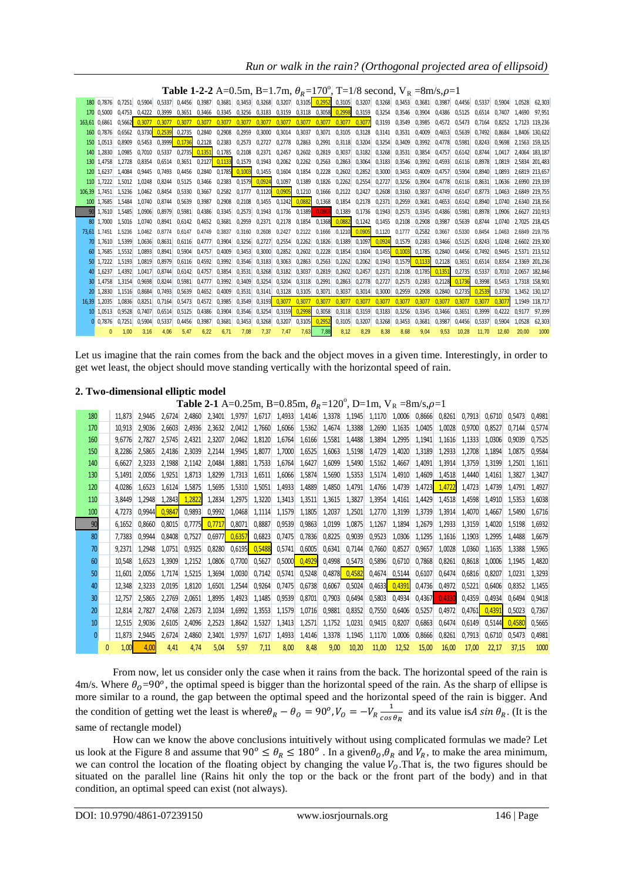## *Run or walk in the rain? (Orthogonal projected area of ellipsoid)*

|    |               |                                    |        |               |               |                        |                             |                             |                      | <b>Table 1-2-2</b> A=0.5m, B=1.7m, $\theta_R$ =170°, T=1/8 second, V <sub>R</sub> =8m/s, $\rho$ =1 |        |               |                      |        |                                                                |               |                   |               |               |        |               |                |                |
|----|---------------|------------------------------------|--------|---------------|---------------|------------------------|-----------------------------|-----------------------------|----------------------|----------------------------------------------------------------------------------------------------|--------|---------------|----------------------|--------|----------------------------------------------------------------|---------------|-------------------|---------------|---------------|--------|---------------|----------------|----------------|
|    | 180 0.7876    | 0.7251 0.5904 0.5337 0.4456 0.3987 |        |               |               |                        |                             |                             |                      | 0.3681 0.3453 0.3268 0.3207                                                                        |        |               |                      |        | 0,3105 0,2952 0,3105 0,3207 0,3268 0,3453 0,3681 0,3987 0,4456 |               |                   |               |               |        | 0.5337 0.5904 | 1.0528         | 62.303         |
|    | 170 0.5000    | 0.4753 0.4222 0.3999               |        |               | 0.3651 0.3466 |                        |                             | 0.3345 0.3256 0.3183 0.3159 |                      |                                                                                                    |        |               | 0.3118 0.3058 0.2998 |        | 0,3159 0,3254 0,3546 0,3904 0,4386 0,5125                      |               |                   |               |               |        | 0.6514 0.7407 | 1.4690         | 97.951         |
|    | 163.61 0.6861 | 0.5662                             | 0.3077 | 0.3077        | 0.3077        | 0.3077                 | 0.3077                      | 0.3077                      | 0,3077               | 0,3077                                                                                             | 0,3077 | 0,3077        | 0,3077               | 0.3077 | 0.3193                                                         | 0.3549        | 0.3985            | 0.4572        | 0.5473        | 0.7164 | 0.8252        | 1.7123 119.236 |                |
|    | 160 0.7876    | 0.6562 0.3730                      |        | 0.2539        | 0.2735        | 0.2840                 | 0.2908                      | 0.2959 0.3000               |                      | 0.3014                                                                                             | 0.3037 | 0,3071        | 0.3105               |        | 0.3128 0.3141 0.3531 0.4009                                    |               |                   | 0.4653 0.5639 |               | 0.7492 | 0.8684        | 1.8406 130.622 |                |
|    | 150 1.0513    | 0.8909                             |        | 0.5453 0.3999 | 0.1736        | 0.2128                 | 0,2383                      |                             | 0,2573 0,2727 0,2778 |                                                                                                    | 0,2863 | 0,2991        | 0,3118               | 0,3204 | 0,3254                                                         | 0,3409        | 0.3992            | 0.4778        | 0.5981        | 0.8243 | 0.9698        |                | 2.1563 159.325 |
|    | 140 1.2830    | 1.0985                             | 0.7010 |               |               | 0.5337  0.2735  0.1351 | 0.1785                      | 0.2108 0.2371 0.2457        |                      |                                                                                                    | 0.2602 | 0.2819 0.3037 |                      | 0.3182 | 0.3268                                                         | 0.3531        | 0.3854            | 0.4757        | 0.6142        | 0.8744 | 1.0417        |                | 2.4064 183.187 |
|    | 130 1.4758    | 1.2728                             | 0.8354 | 0.6514        | 0.3651        | 0.2127                 | 0.1133 0.1579 0.1943 0.2062 |                             |                      |                                                                                                    | 0.2262 | 0.2563        | 0.2863               | 0.3064 | 0.3183                                                         | 0.3546        | 0.3992            | 0.4593        | 0.6116        | 0.8978 | 1.0819        | 2.5834 201.483 |                |
|    | 120 1.6237    | 1.4084                             | 0.9445 | 0.7493        | 0.4456        | 0.2840                 | 0,1785 0,1003 0,1455        |                             |                      | 0.1604                                                                                             | 0.1854 | 0.2228        | 0.2602               | 0.2852 | 0.3000                                                         | 0.3453        | 0.4009            | 0.4757        | 0.5904        | 0.8940 | 1.0893        | 2,6819 213,657 |                |
|    | 110 1.7222    | 1.5012                             | 1.0248 | 0.8244        | 0.5125        | 0.3466                 |                             | 0.2383 0.1579 0.0924        |                      | 0.1097                                                                                             | 0.1389 | 0.1826        | 0.2262               | 0.2554 | 0.2727                                                         | 0.3256        | 0.3904            | 0.4778        | 0.6116        | 0.8631 | 1.0636        | 2.6990 219.339 |                |
|    | 106.39 1.7451 | 1.5236                             | 1.0462 | 0,8454        | 0.5330        | 0.3667                 | 0,2582                      |                             | 0,1777 0,1120 0,0905 |                                                                                                    | 0,1210 | 0,1666        | 0,2122 0,2427        |        | 0,2608                                                         | 0,3160        | 0,3837            | 0.4749        | 0.6147        | 0.8773 | 1.0463        | 2.6849 219.755 |                |
|    | 100 1.7685    | 1.5484                             | 1.0740 | 0.8744        | 0.5639        | 0.3987                 | 0.2908                      |                             |                      | 0,2108 0,1455 0,1242 0,0882                                                                        |        | 0,1368        | 0.1854 0.2178 0.2371 |        |                                                                | 0.2959        | 0.3681            | 0.4653        | 0.6142        | 0.8940 | 1.0740        | 2.6340 218.356 |                |
| 90 | 1,7610        | 1.5485                             | 1.0906 | 0.8979        | 0.5981        | 0.4386                 | 0.3345                      | 0.2573                      | 0.1943               | 0.1736                                                                                             | 0.1389 |               | 0,0868 0,1389 0,1736 |        | 0,1943                                                         | 0.2573        | 0.3345            | 0.4386        | 0.5981        | 0.8978 | 1.0906        |                | 2.6627 210.913 |
|    | 80 1.7000     | 1.5016                             | 1.0740 | 0.8941 0.6142 |               | 0.4652                 |                             | 0.3681 0.2959 0.2371 0.2178 |                      |                                                                                                    |        |               | 0,1854 0,1368 0,0882 |        | 0,1242 0,1455                                                  | 0.2108 0.2908 |                   | 0.3987        | 0.5639        | 0.8744 | 1.0740        | 2.7025 218.425 |                |
|    | 73.61 1.7451  | 1.5236                             | 1.0462 | 0.8774        | 0.6147        | 0.4749                 | 0.3837                      |                             | 0.3160 0.2608        | 0.2427                                                                                             | 0.2122 | 0.1666        | 0.1210               | 0.0905 | 0.1120                                                         | 0.1777        | 0.2582            | 0.3667        | 0.5330        | 0.8454 | 1.0463        | 2.6849 219.755 |                |
|    | 70 1.7610     | 1.5399                             |        | 1.0636 0.8631 | 0.6116        | 0.4777                 |                             | 0.3904 0.3256 0.2727 0.2554 |                      |                                                                                                    | 0,2262 |               | 0,1826 0,1389        | 0,1097 | 0,0924                                                         | 0.1579        | 0.2383            | 0.3466 0.5125 |               | 0.8243 | 1.0248        | 2.6602 219.300 |                |
|    | 60 1,7685     | 1.5532                             | 1.0893 | 0.8941        | 0.5904        | 0.4757                 | 0.4009                      | 0,3453                      | 0.3000               | 0.2852                                                                                             | 0,2602 | 0.2228        | 0.1854               | 0.1604 | 0.1455 0.1003                                                  |               | 0.1785            |               | 0.2840 0.4456 | 0.7492 | 0.9445        | 2.5371 213.512 |                |
|    | 50 1.7222     | 1.5193                             | 1.0819 | 0.8979        | 0.6116        | 0.4592                 | 0.3992                      | 0.3546 0.3183               |                      | 0,3063                                                                                             | 0,2863 | 0,2563        | 0,2262               | 0,2062 | 0,1943                                                         |               | $0.1579$ $0.1133$ | 0,2128 0,3651 |               | 0.6514 | 0.8354        |                | 2.3369 201.236 |
|    | 40 1.6237     | 1.4392                             | 1.0417 | 0.8744        | 0.6142        | 0.4757                 | 0.3854                      | 0.3531                      | 0.3268               | 0.3182                                                                                             | 0.3037 | 0.2819        | 0.2602               | 0.2457 | 0.2371                                                         | 0.2108        | 0.1785            | 0.1351        | 0.2735        | 0.5337 | 0.7010        |                | 2.0657 182.846 |
|    | 30 1.4758     | 1.3154                             | 0.9698 | 0.8244        | 0.5981        | 0.4777                 | 0.3992                      | 0.3409                      | 0.3254               | 0.3204                                                                                             | 0.3118 | 0.2991        | 0.2863               | 0.2778 | 0.2727                                                         | 0.2573        | 0.2383            | 0.2128        | 0.1736        | 0.3998 | 0.5453        | 1.7318 158.901 |                |
|    | 20 1.2830     | 1.1516                             | 0.8684 | 0.7493        | 0.5639        | 0.4652                 | 0.4009                      | 0.3531                      |                      | $0.3141$ $0.3128$                                                                                  | 0.3105 | 0.3071        | 0.3037               | 0.3014 | 0.3000                                                         | 0.2959        | 0.2908            | 0.2840 0.2735 |               | 0.2539 | 0.3730        |                | 1.3452 130.127 |
|    | 16.39 1.2035  | 1.0836                             | 0.8251 | 0.7164        | 0.5473        | 0.4572                 | 0.3985                      | 0.3549                      | 0,3193 0,3077        |                                                                                                    | 0,3077 | 0,3077        | 0,3077               | 0.3077 | 0,3077                                                         | 0,3077        | 0.3077            | 0.3077        | 0.3077        | 0.3077 | 0.3077        |                | 1.1949 118.717 |
|    | 10 1.0513     | 0.9528                             | 0.7407 | 0.6514        | 0.5125        | 0.4386                 | 0.3904                      | 0.3546                      | 0.3254 0.3159        |                                                                                                    | 0,2998 | 0.3058        | 0.3118               | 0,3159 | 0.3183                                                         | 0.3256        | 0.3345            | 0.3466        | 0.3651        | 0.3999 | 0.4222        | 0.9177         | 97.399         |
|    | 0 0.7876      | 0.7251                             | 0.5904 | 0.5337        | 0.4456        | 0.3987                 | 0.3681                      | 0.3453                      | 0.3268               | 0.3207                                                                                             | 0.3105 | 0,2952        | 0.3105               | 0.3207 | 0.3268                                                         | 0.3453        | 0.3681            | 0.3987        | 0.4456        | 0.5337 | 0.5904        | 1.0528         | 62.303         |
|    |               | 1.00                               | 3.16   | 4.06          | 5.47          | 6.22                   | 6.71                        | 7.08                        | 7.37                 | 7.47                                                                                               | 7.63   | 7,88          | 8.12                 | 8.29   | 8.38                                                           | 8.68          | 9.04              | 9.53          | 10.28         | 11.70  | 12.60         | 20.00          | 1000           |

Let us imagine that the rain comes from the back and the object moves in a given time. Interestingly, in order to get wet least, the object should move standing vertically with the horizontal speed of rain.

#### **2. Two-dimensional elliptic model**

**Table 2-1** A=0.25m, B=0.85m,  $\theta_R$ =120°, D=1m, V<sub>R</sub> =8m/s,  $\rho$ =1

| 180             | 11.873 | 2.9445 | 2.6724 | 2.4860 |        | 2,3401 1,9797 |        | 1,6717 1,4933 1,4146 1,3378 |                   |        | 1.1945 | 1.1170 | 1.0006 | 0.8666 | 0.8261        | 0.7913 | 0.6710 | 0.5473 | 0.4981 |
|-----------------|--------|--------|--------|--------|--------|---------------|--------|-----------------------------|-------------------|--------|--------|--------|--------|--------|---------------|--------|--------|--------|--------|
| 170             | 10.913 | 2.9036 | 2.6603 | 2.4936 | 2.3632 | 2.0412        | 1.7660 | 1.6066                      | 1,5362            | 1,4674 | 1.3388 | 1.2690 | 1,1635 | 1.0405 | 1.0028        | 0.9700 | 0.8527 | 0.7144 | 0.5774 |
| 160             | 9.6776 | 2.7827 | 2.5745 | 2.4321 | 2,3207 | 2,0462        | 1,8120 | 1,6764                      | 1,6166            | 1,5581 | 1,4488 | 1,3894 | 1,2995 | 1,1941 | 1,1616        | 1.1333 | 1.0306 | 0.9039 | 0.7525 |
| 150             | 8.2286 | 2.5865 | 2.4186 | 2,3039 | 2.2144 | 1.9945        | 1,8077 | 1,7000                      | 1,6525            | 1,6063 | 1,5198 | 1.4729 | 1,4020 | 1.3189 | 1,2933        | 1,2708 | 1.1894 | 1.0875 | 0,9584 |
| 140             | 6.6627 | 2.3233 | 2.1988 | 2.1142 | 2,0484 | 1.8881        | 1.7533 | 1.6764                      | 1.6427            | 1,6099 | 1.5490 | 1.5162 | 1,4667 | 1.4091 | 1.3914        | 1.3759 | 1.3199 | 1.2501 | 1.1611 |
| 130             | 5.1491 | 2.0056 | 1.9251 | 1.8713 | 1.8299 | 1.7313        | 1.6511 | 1,6066                      | 1.5874            | 1,5690 | 1,5353 | 1.5174 | 1,4910 | 1.4609 | 1.4518        | 1.4440 | 1.4161 | 1,3827 | 1.3427 |
| 120             | 4.0286 | 1.6523 | 1.6124 | 1.5875 | 1.5695 | 1,5310        | 1,5051 | 1,4933                      | 1,4889            | 1,4850 | 1,4791 | 1,4766 | 1,4739 |        | 1,4723 1,4722 | 1.4723 | 1.4739 | 1.4791 | 1.4927 |
| 110             | 3.8449 | 1.2948 | 1,2843 | 1.2822 | 1.2834 | 1,2975        | 1,3220 | 1,3413                      | 1,3511            | 1,3615 | 1,3827 | 1,3954 | 1,4161 | 1.4429 | 1.4518        | 1.4598 | 1.4910 | 1.5353 | 1.6038 |
| 100             | 4.7273 | 0,9944 | 0.9847 | 0,9893 | 0,9992 | 1,0468        | 1,1114 | 1,1579                      | 1,1805            | 1,2037 | 1,2501 | 1,2770 | 1,3199 | 1,3739 | 1,3914        | 1.4070 | 1.4667 | 1.5490 | 1.6716 |
| 90              | 6.1652 | 0,8660 | 0,8015 | 0.7775 | 0.7717 | 0,8071        | 0,8887 | 0,9539                      | 0,9863            | 1,0199 | 1,0875 | 1,1267 | 1,1894 | 1,2679 | 1,2933        | 1,3159 | 1.4020 | 1.5198 | 1.6932 |
| 80              | 7.7383 | 0.9944 | 0.8408 | 0.7527 | 0.6977 | 0.6357        | 0,6823 | 0,7475                      | 0,7836            | 0,8225 | 0,9039 | 0,9523 | 1,0306 | 1.1295 | 1.1616        | 1.1903 | 1.2995 | 1.4488 | 1.6679 |
| 70              | 9.2371 | 1.2948 | 1.0751 | 0.9325 | 0.8280 | 0,6195        | 0,5488 | 0,5741                      | 0,6005            | 0,6341 | 0,7144 | 0.7660 | 0,8527 | 0,9657 | 1.0028        | 1.0360 | 1.1635 | 1.3388 | 1.5965 |
| 60              | 10.548 | 1.6523 | 1.3909 | 1,2152 | 1.0806 | 0.7700        | 0,5627 |                             | $0,5000$ $0,4929$ | 0,4998 | 0,5473 | 0,5896 | 0,6710 | 0.7868 | 0,8261        | 0.8618 | 1.0006 | 1.1945 | 1.4820 |
| 50              | 11.601 | 2.0056 | 1.7174 | 1.5215 | 1.3694 | 1,0030        | 0.7142 | 0,5741                      | 0,5248            | 0,4878 | 0.4582 | 0,4674 | 0,5144 | 0.6107 | 0.6474        | 0.6816 | 0.8207 | 1.0231 | 1.3293 |
| 40              | 12.348 | 2.3233 | 2.0195 | 1.8120 | 1.6501 | 1.2544        | 0,9264 | 0.7475                      | 0,6738            | 0,6067 | 0,5024 | 0,4633 | 0,4391 | 0,4736 | 0.4972        | 0.5221 | 0.6406 | 0.8352 | 1.1455 |
| 30 <sup>2</sup> | 12.757 | 2,5865 | 2,2769 | 2,0651 | 1.8995 | 1,4923        | 1,1485 | 0,9539                      | 0,8701            | 0,7903 | 0,6494 | 0,5803 | 0,4934 | 0,4367 | 0.4330        | 0,4359 | 0.4934 | 0.6494 | 0.9418 |
| 20              | 12.814 | 2.7827 | 2.4768 | 2,2673 | 2,1034 | 1,6992        | 1,3553 | 1,1579                      | 1,0716            | 0,9881 | 0,8352 | 0,7550 | 0,6406 | 0,5257 | 0.4972        | 0.4761 | 0.4391 | 0,5023 | 0.7367 |
| 10              | 12.515 | 2,9036 | 2.6105 | 2.4096 | 2,2523 | 1,8642        | 1,5327 | 1,3413                      | 1,2571            | 1,1752 | 1,0231 | 0,9415 | 0,8207 | 0,6863 | 0,6474        | 0,6149 | 0.5144 | 0.4580 | 0,5665 |
|                 | 11.873 | 2,9445 | 2,6724 | 2.4860 | 2,3401 | 1,9797        | 1.6717 | 1,4933                      | 1,4146            | 1,3378 | 1,1945 | 1,1170 | 1,0006 | 0,8666 | 0,8261        | 0,7913 | 0,6710 | 0.5473 | 0,4981 |
|                 | 1,00   | 4,00   | 4,41   | 4,74   | 5,04   | 5,97          | 7,11   | 8,00                        | 8,48              | 9,00   | 10,20  | 11,00  | 12,52  | 15,00  | 16,00         | 17.00  | 22.17  | 37.15  | 1000   |

From now, let us consider only the case when it rains from the back. The horizontal speed of the rain is 4m/s. Where  $\theta_0 = 90^\circ$ , the optimal speed is bigger than the horizontal speed of the rain. As the sharp of ellipse is more similar to a round, the gap between the optimal speed and the horizontal speed of the rain is bigger. And the condition of getting wet the least is where  $\theta_R - \theta_O = 90^\circ$ ,  $V_O = -V_R \frac{1}{\cos \theta}$  $\frac{1}{\cos \theta_R}$  and its value is *A* sin  $\theta_R$ . (It is the same of rectangle model)

How can we know the above conclusions intuitively without using complicated formulas we made? Let us look at the Figure 8 and assume that  $90^\circ \le \theta_R \le 180^\circ$ . In a given  $\theta_o$ ,  $\theta_R$  and  $V_R$ , to make the area minimum, we can control the location of the floating object by changing the value  $V_0$ . That is, the two figures should be situated on the parallel line (Rains hit only the top or the back or the front part of the body) and in that condition, an optimal speed can exist (not always).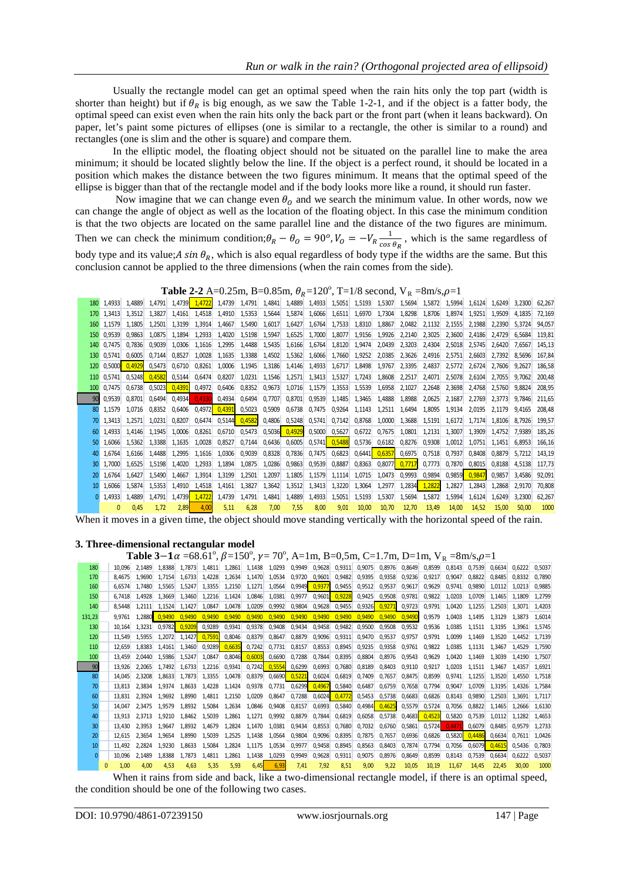Usually the rectangle model can get an optimal speed when the rain hits only the top part (width is shorter than height) but if  $\theta_R$  is big enough, as we saw the Table 1-2-1, and if the object is a fatter body, the optimal speed can exist even when the rain hits only the back part or the front part (when it leans backward). On paper, let's paint some pictures of ellipses (one is similar to a rectangle, the other is similar to a round) and rectangles (one is slim and the other is square) and compare them.

In the elliptic model, the floating object should not be situated on the parallel line to make the area minimum; it should be located slightly below the line. If the object is a perfect round, it should be located in a position which makes the distance between the two figures minimum. It means that the optimal speed of the ellipse is bigger than that of the rectangle model and if the body looks more like a round, it should run faster.

Now imagine that we can change even  $\theta_0$  and we search the minimum value. In other words, now we can change the angle of object as well as the location of the floating object. In this case the minimum condition is that the two objects are located on the same parallel line and the distance of the two figures are minimum. Then we can check the minimum condition;  $\theta_R - \theta_o = 90^\circ$ ,  $V_o = -V_R \frac{1}{\cos \theta}$  $\frac{1}{\cos \theta_R}$ , which is the same regardless of body type and its value; A sin  $\theta_R$ , which is also equal regardless of body type if the widths are the same. But this conclusion cannot be applied to the three dimensions (when the rain comes from the side).

## **Table 2-2** A=0.25m, B=0.85m,  $\theta_R$ =120°, T=1/8 second,  $V_R$ =8m/s,  $\rho$ =1

|     | 180 1.4933    | 1.4889 | 1,4791 |        | 1,4739 1,4722               |               | 1,4739 1,4791 1,4841 |        |               |                                    |                               |                      |                 |        |               |                      | 1,4889 1,4933 1,5051 1,5193 1,5307 1,5694 1,5872 1,5994 1,6124 1,6249 |        | 3.2300 | 62.267 |
|-----|---------------|--------|--------|--------|-----------------------------|---------------|----------------------|--------|---------------|------------------------------------|-------------------------------|----------------------|-----------------|--------|---------------|----------------------|-----------------------------------------------------------------------|--------|--------|--------|
|     | 170 1.3413    | 1.3512 | 1.3827 | 1.4161 | 1.4518                      |               | 1,4910 1,5353        | 1,5644 | 1,5874        | 1,6066                             | 1,6511                        | 1,6970               | 1,7304          | 1,8298 | 1,8706        | 1.8974               | 1.9251                                                                | 1.9509 | 4.1835 | 72.169 |
|     | 160 1.1579    | 1,1805 | 1,2501 | 1,3199 | 1,3914                      | 1,4667        | 1,5490               | 1,6017 | 1,6427        | 1,6764                             | 1,7533                        | 1,8310               | 1,8867          | 2,0482 | 2,1132        | 2,1555               | 2,1988                                                                | 2,2390 | 5.3724 | 94,057 |
|     | 150 0.9539    | 0.9863 | 1.0875 | 1.1894 | 1,2933                      | 1,4020        | 1,5198               | 1,5947 | 1,6525        | 1,7000                             | 1,8077                        | 1,9156               | 1,9926          | 2,2140 | 2,3025        | 2.3600               | 2.4186                                                                | 2.4729 | 6.5684 | 119.81 |
|     | 140 0.7475    | 0.7836 | 0.9039 | 1.0306 | 1.1616                      | 1,2995        | 1,4488               | 1,5435 | 1,6166        | 1,6764                             | 1,8120                        | 1,9474               | 2,0439          | 2,3203 | 2,4304        | 2,5018               | 2.5745                                                                | 2.6420 | 7.6567 | 145.13 |
| 130 | 0.5741        | 0.6005 | 0.7144 | 0.8527 | 1,0028                      | 1,1635        | 1.3388               | 1,4502 | 1,5362        | 1,6066                             | 1,7660                        | 1,9252               | 2,0385          | 2,3626 | 2.4916        | 2.5751               | 2.6603                                                                | 2.7392 | 8.5696 | 167.84 |
| 120 | 0.5000 0.4929 |        | 0,5473 | 0,6710 | 0,8261                      |               | 1,0006 1,1945        | 1,3186 | 1,4146        | 1,4933                             | 1,6717                        | 1,8498               | 1,9767          | 2,3395 | 2,4837        | 2,5772               | 2.6724                                                                | 2.7606 | 9.2627 | 186.58 |
|     | 110 0.5741    | 0.5248 | 0.4582 | 0.5144 | 0.6474                      | 0,8207        | 1,0231               | 1,1546 |               | 1,2571 1,3413 1,5327               |                               | 1.7243               | 1,8608          | 2,2517 | 2,4071        | 2.5078               | 2.6104                                                                | 2.7055 | 9.7062 | 200.48 |
|     | 100 0.7475    | 0.6738 | 0.5023 | 0.4391 | 0.4972                      | 0,6406        | 0,8352               | 0,9673 | 1,0716        |                                    | 1,1579 1,3553 1,5539          |                      | 1,6958          | 2,1027 | 2.2648        | 2.3698               | 2.4768                                                                | 2.5760 | 9.8824 | 208.95 |
|     | 0,9539        | 0,8701 | 0,6494 | 0,4934 | 0.4330                      | 0,4934        | 0,6494               | 0,7707 | 0,8701        | 0,9539                             | 1,1485                        | 1,3465               | 1,4888          | 1,8988 | 2,0625        | 2,1687               | 2,2769                                                                | 2.3773 | 9.7846 | 211.65 |
|     | 80 1.1579     | 1.0716 | 0.8352 |        | 0,6406 0,4972 0,4391 0,5023 |               |                      | 0,5909 |               | 0,6738 0,7475 0,9264 1,1143        |                               |                      | 1,2511          | 1,6494 | 1,8095        | 1.9134               | 2.0195                                                                | 2.1179 | 9.4165 | 208.48 |
|     | 70 1.3413     | 1.2571 | 1,0231 | 0,8207 | 0,6474                      | 0,5144 0,4582 |                      |        |               | 0,4806 0,5248 0,5741 0,7142 0,8768 |                               |                      | 1,0000          |        |               | 1,3688 1,5191 1,6172 | 1.7174                                                                | 1.8106 | 8.7926 | 199.57 |
|     | 60 1.4933     | 1.4146 | 1.1945 | 1,0006 | 0,8261                      | 0,6710        | 0,5473               |        | 0,5036 0,4929 |                                    | $0,5000$ 0,5627 0,6722        |                      | 0,7675          | 1,0801 | 1,2131        | 1,3007               | 1,3909                                                                | 1.4752 | 7.9389 | 185.26 |
|     | 50 1.6066     | 1.5362 | 1.3388 | 1,1635 | 1,0028                      |               | 0,8527 0,7144        | 0,6436 | 0,6005        |                                    | 0,5741   0, <mark>5488</mark> | 0,5736 0,6182 0,8276 |                 |        | 0,9308        | 1,0012               | 1.0751                                                                | 1.1451 | 6.8953 | 166.16 |
|     | 40 1.6764     | 1.6166 | 1.4488 | 1.2995 | 1,1616                      | 1,0306        | 0,9039               | 0,8328 | 0,7836        |                                    | 0,7475 0,6823                 | 0,6441               | $0,6357$ 0,6975 |        | 0,7518        | 0.7937               | 0.8408                                                                | 0.8879 | 5.7212 | 143.19 |
|     | 30 1.7000     | 1.6525 | 1.5198 | 1.4020 | 1,2933                      |               | 1,1894 1,0875        | 1,0286 | 0,9863        | 0,9539                             | 0,8887                        | 0,8363               | 0,8077          | 0.7717 | 0,7773        |                      | 0.7870 0.8015                                                         | 0.8188 | 4.5138 | 117.73 |
|     | 20 1,6764     | 1.6427 | 1.5490 | 1.4667 | 1,3914                      | 1,3199        | 1,2501               | 1,2097 | 1,1805        |                                    | 1,1579 1,1114                 | 1,0715               | 1,0473          | 0,9993 | 0,9894        | 0,9859               | 0.9847                                                                | 0,9857 | 3.4586 | 92.091 |
|     | 10 1.6066     | 1.5874 | 1,5353 | 1.4910 | 1,4518                      | 1,4161        | 1,3827               | 1,3642 | 1,3512        | 1,3413                             | 1,3220                        | 1,3064               | 1,2977          | 1,2834 | 1,2822        | 1,2827               | 1,2843                                                                | 1.2868 | 2.9170 | 70.808 |
|     | 0 1.4933      | 1.4889 | 1,4791 | 1,4739 | 1.4722                      | 1,4739        | 1,4791               | 1,4841 | 1,4889        | 1,4933                             | 1,5051                        | 1,5193               | 1,5307          |        | 1,5694 1,5872 | 1,5994               | 1,6124                                                                | 1.6249 | 3.2300 | 62.267 |
|     |               | 0.45   | 1,72   | 2.89   |                             | 5.11          | 6,28                 | 7.00   | 7,55          | 8,00                               | 9,01                          | 10,00                | 10,70           | 12,70  | 13.49         | 14,00                | 14.52                                                                 | 15,00  | 50.00  | 1000   |

When it moves in a given time, the object should move standing vertically with the horizontal speed of the rain.

#### **3. Three-dimensional rectangular model**

| <b>Table 3-1</b> $\alpha$ =68.61°, $\beta$ =150°, $\gamma$ =70°, A=1m, B=0,5m, C=1.7m, D=1m, V <sub>R</sub> =8m/s, $\rho$ =1 |  |  |
|------------------------------------------------------------------------------------------------------------------------------|--|--|
|                                                                                                                              |  |  |

| 180      |          | 10.096 | 2.1489 | 1.8388 | 1.7873               | 1.4811 | 1.2861 | 1.1438 | 1.0293        | 0.9949        | 0.9628 | 0,9311 | 0.9075        | 0.8976        | 0.8649 | 0.8599 | 0.8143 | 0.7539 | 0.6634 | 0.6222        | 0.5037 |
|----------|----------|--------|--------|--------|----------------------|--------|--------|--------|---------------|---------------|--------|--------|---------------|---------------|--------|--------|--------|--------|--------|---------------|--------|
| 170      |          | 8.4675 | 1.9690 | 1.7154 | 1.6733               | 1.4228 | 1,2634 | 1,1470 | 1.0534        | 0.9720        | 0,9601 | 0,9482 | 0,9395        | 0,9358        | 0,9236 | 0,9217 | 0,9047 | 0,8822 | 0.8485 | 0.8332        | 0,7890 |
| 160      |          | 6.6574 | 1.7480 | 1.5565 | 1.5247               | 1.3355 | 1.2150 | 1.1271 | 1,0564        | 0,9949        | 0,9377 | 0,9455 | 0,9512        | 0.9537        | 0.9617 | 0.9629 | 0.9741 | 0.9890 | 1.0112 | 1.0213        | 0.9885 |
| 150      |          | 6.7418 | 1.4928 | 1.3669 | 1.3460               | 1.2216 | 1.1424 | 1,0846 | 1,0381        | 0,9977        | 0,9601 | 0.9228 | 0,9425        | 0,9508        | 0.9781 | 0,9822 | 1.0203 | 1.0709 | 1.1465 | 1.1809        | 1.2799 |
| 140      |          | 8.5448 | 1.2111 |        | 1.1524 1.1427        | 1.0847 | 1.0478 | 1.0209 | 0.9992        | 0,9804        | 0,9628 | 0,9455 |               | 0,9326 0,9271 | 0,9723 | 0,9791 | 1.0420 | 1.1255 | 1.2503 | 1.3071 1.4203 |        |
| 131.23   |          | 9.9761 | 1.2880 | 0.9490 | 0.9490               | 0.9490 | 0.9490 | 0.9490 | 0.9490        | 0.9490        | 0.9490 | 0,9490 | 0,9490        | 0,9490        | 0,9490 | 0,9579 | 1.0403 | 1.1495 | 1.3129 | 1.3873        | 1.6014 |
| 130      |          | 10.164 | 1.3231 | 0.9782 | 0.9209               | 0.9289 | 0.9341 | 0.9378 | 0,9408        | 0,9434        | 0,9458 | 0,9482 | 0,9500        | 0,9508        | 0.9532 | 0.9536 | 1.0385 | 1.1511 | 1.3195 | 1.3961 1.5745 |        |
| 120      |          | 11.549 | 1.5955 |        | 1.2072 1.1427 0.7591 |        | 0,8046 | 0,8379 | 0,8647        | 0,8879        | 0,9096 | 0,9311 | 0,9470        | 0,9537        | 0.9757 | 0.9791 | 1.0099 | 1.1469 | 1.3520 | 1.4452 1.7139 |        |
| 110      |          | 12.659 | 1.8383 | 1.4161 | 1.3460               | 0.9289 | 0.6635 | 0,7242 | 0,7731        | 0,8157        | 0,8553 | 0,8945 | 0,9235        | 0,9358        | 0.9761 | 0.9822 | 1.0385 | 1.1131 | 1.3467 | 1.4529        | 1.7590 |
| 100      |          | 13.459 | 2.0440 | 1.5986 | 1.5247               | 1.0847 | 0.8046 | 0,6003 | 0,6690        | 0,7288        | 0,7844 | 0,8395 | 0,8804        | 0.8976        | 0.9543 | 0.9629 | 1.0420 | 1.1469 | 1.3039 | 1.4190        | 1.7507 |
| 90       |          | 13.926 | 2.2065 | 1.7492 | 1.6733               | 1.2216 | 0,9341 | 0,7242 | 0,5554        | 0,6299        | 0,6993 | 0,7680 | 0,8189        | 0,8403        | 0.9110 | 0.9217 | 1.0203 | 1.1511 | 1.3467 | 1.4357        | 1.6921 |
| 80       |          | 14.045 | 2.3208 | 1.8633 | 1.7873               | 1.3355 | 1.0478 | 0,8379 | 0,6690 0,5221 |               | 0,6024 | 0,6819 | 0.7409        | 0.7657        | 0,8475 | 0,8599 | 0.9741 | 1.1255 | 1.3520 | 1.4550        | 1.7518 |
| 70       |          | 13.813 | 2.3834 | 1.9374 | 1.8633               | 1.4228 | 1.1424 | 0.9378 |               | 0.7731 0.6299 | 0.4967 | 0.5840 | 0,6487        | 0.6759        | 0.7658 | 0.7794 | 0.9047 | 1.0709 | 1.3195 | 1.4326        | 1.7584 |
| 60       |          | 13.831 | 2.3924 | 1.9692 | 1.8990               | 1.4811 | 1.2150 | 1.0209 | 0.8647        | 0,7288        | 0,6024 | 0,4772 | 0,5453 0,5738 |               | 0,6683 | 0.6826 | 0.8143 | 0.9890 | 1.2503 | 1,3691 1,7117 |        |
| 50       |          | 14.047 | 2.3475 | 1.9579 | 1.8932               | 1.5084 | 1.2634 | 1.0846 | 0,9408        | 0,8157        | 0,6993 | 0,5840 | 0,4984 0,4625 |               | 0.5579 | 0,5724 | 0.7056 | 0.8822 | 1.1465 | 1.2666        | 1,6130 |
| 40       |          | 13.913 | 2.3713 | 1.9210 | 1.8462               | 1.5039 | 1.2861 | 1.1271 | 0.9992        | 0,8879        | 0.7844 | 0.6819 | 0,6058        | 0,5738        | 0,4683 | 0.4523 | 0,5820 | 0.7539 | 1.0112 | 1.1282 1.4653 |        |
| 30       |          | 13.430 | 2.3953 | 1.9647 | 1.8932               | 1.4679 | 1.2824 | 1.1470 | 1.0381        | 0,9434        | 0.8553 | 0.7680 | 0.7032        | 0.6760        | 0.5861 | 0.5724 | 0.4471 | 0.6079 | 0.8485 | 0.9579        | 1.2733 |
| 20       |          | 12.615 | 2.3654 | 1.9654 | 1.8990               | 1.5039 | 1.2525 | 1.1438 | 1.0564        | 0,9804        | 0,9096 | 0,8395 | 0,7875        | 0.7657        | 0.6936 | 0.6826 | 0.5820 | 0.4486 | 0.6634 | 0.7611 1.0426 |        |
| 10       |          | 11.492 | 2.2824 | 1.9230 | 1.8633               | 1.5084 | 1.2824 | 1.1175 | 1.0534        | 0.9977        | 0,9458 | 0,8945 | 0,8563        | 0.8403        | 0.7874 | 0.7794 | 0.7056 | 0.6079 | 0.4615 | 0.5436 0.7803 |        |
| $\Omega$ |          | 10.096 | 2.1489 | 1.8388 | 1.7873               | 1.4811 | 1.2861 | 1.1438 | 1,0293        | 0.9949        | 0,9628 | 0.9311 | 0,9075        | 0.8976        | 0.8649 | 0.8599 | 0.8143 | 0.7539 | 0.6634 | 0.6222 0.5037 |        |
|          | $\Omega$ | 1.00   | 4.00   | 4.53   | 4.63                 | 5.35   | 5.93   | 6.45   | 6,93          | 7,41          | 7,92   | 8,51   | 9.00          | 9.22          | 10.05  | 10.19  | 11.67  | 14.45  | 22.45  | 30.00         | 1000   |
|          |          |        |        |        |                      |        |        |        |               |               |        |        |               |               |        |        |        |        |        |               |        |

When it rains from side and back, like a two-dimensional rectangle model, if there is an optimal speed, the condition should be one of the following two cases.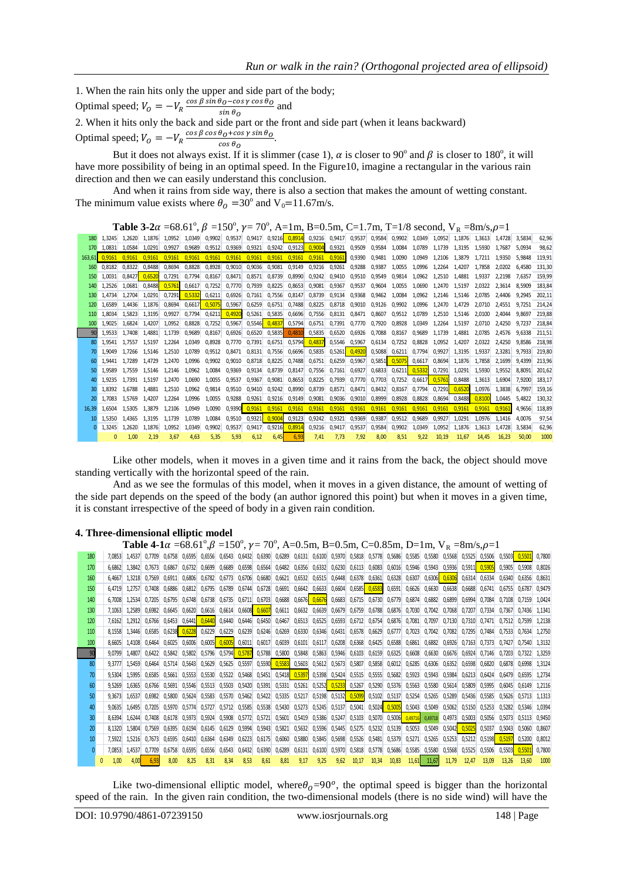1. When the rain hits only the upper and side part of the body; Optimal speed;  $V_O = -V_R \frac{\cos \beta \sin \theta_O - \cos \gamma \cos \theta_O}{\sin \theta_O}$  $\frac{\sin \theta_0}{\sin \theta_0}$  and

2. When it hits only the back and side part or the front and side part (when it leans backward) Optimal speed;  $V_O = -V_R \frac{\cos \beta \cos \theta_0 + \cos \gamma \sin \theta_0}{\cos \theta_0}$  $\frac{\cos \theta_0}{\cos \theta_0}$ .

But it does not always exist. If it is slimmer (case 1),  $\alpha$  is closer to 90<sup>°</sup> and  $\beta$  is closer to 180<sup>°</sup>, it will have more possibility of being in an optimal speed. In the Figure10, imagine a rectangular in the various rain direction and then we can easily understand this conclusion.

And when it rains from side way, there is also a section that makes the amount of wetting constant. The minimum value exists where  $\theta_0 = 30^\circ$  and V<sub>0</sub>=11.67m/s.

**Table 3-2** $\alpha$  =68.61°,  $\beta$  =150°,  $\gamma$  = 70°, A=1m, B=0.5m, C=1.7m, T=1/8 second, V<sub>R</sub> =8m/s,  $\rho$ =1

|     | 180 1.3245      |               | 1.2620 1.1876 |        |        |                                                                |      |      |      | 1,0952 1,0349 0,9902 0,9537 0,9417 0,9216 0,8914 0,9216 0,9417 0,9537 0,9584 0,9902 1,0349 1,0952 1,1876 1,3613 1,4728 3,5834                   |      |        |                             |                        |                             |        |                      |                                                         |               |        |               | 62.96  |
|-----|-----------------|---------------|---------------|--------|--------|----------------------------------------------------------------|------|------|------|-------------------------------------------------------------------------------------------------------------------------------------------------|------|--------|-----------------------------|------------------------|-----------------------------|--------|----------------------|---------------------------------------------------------|---------------|--------|---------------|--------|
|     |                 |               |               |        |        |                                                                |      |      |      | 170 1,0831 1,0584 1,0291 0,9927 0,9689 0,9512 0,9369 0,9321 0,9242 0,9123 0,9004 0,9321 0,9509 0,9584 1,0084 1,0789 1,1739 1,3195 1,5930 1,7687 |      |        |                             |                        |                             |        |                      |                                                         |               |        | 5.0934        | 98.62  |
|     | $163.61$ 0.9161 |               | 0.9161 0.9161 | 0.9161 |        |                                                                |      |      |      | 0,9161 0,9161 0,9161 0,9161 0,9161 0,9161 0,9161 0,9161                                                                                         |      |        |                             |                        |                             |        |                      | 0,9390 0,9481 1,0090 1,0949 1,2106 1,3879 1,7211 1,9350 |               |        | 5.9848 119.91 |        |
|     | 160 0.8182      | 0.8322 0.8488 |               | 0.8694 | 0.8828 | 0.8928 0.9010                                                  |      |      |      | 0,9036 0,9081 0,9149 0,9216 0,9261 0,9288 0,9387 1,0055                                                                                         |      |        |                             |                        |                             |        |                      | 1.0996 1.2264 1.4207 1.7858                             |               | 2.0202 | 6.4580        | 131.30 |
|     | 150 1.0031      | 0.8427        | 0.6520        | 0.7291 |        |                                                                |      |      |      | 0,7794 0,8167 0,8471 0,8571 0,8739 0,8990 0,9242 0,9410 0,9510 0,9549 0,9814 1,0962 1,2510 1,4881 1,9337                                        |      |        |                             |                        |                             |        |                      |                                                         |               | 2.2198 | 7.6357        | 159.99 |
|     | 140 1.2526      |               |               |        |        |                                                                |      |      |      | 1,0681 0,8488 0,5761 0,6617 0,7252 0,7770 0,7939 0,8225 0,8653 0,9081 0,9367 0,9537 0,9604 1,0055 1,0690 1,2470 1,5197 2,0322 2,3614            |      |        |                             |                        |                             |        |                      |                                                         |               |        | 8.5909 183.84 |        |
| 130 | 1.4734          | 1.2704        | 1.0291        | 0.7291 |        | $0.5332$ $0.6211$ $0.6926$ $0.7161$                            |      |      |      | 0.7556 0.8147 0.8739                                                                                                                            |      | 0.9134 | 0.9368 0.9462 1.0084        |                        |                             |        |                      | 1.0962 1.2146 1.5146 2.0785                             |               | 2.4406 | 9.2945        | 202.11 |
|     | 120 1.6589      | 1.4436        | 1.1876        |        |        | 0,8694 0,6617 0,5075 0,5967                                    |      |      |      | 0,6259 0,6751 0,7488 0,8225 0,8718 0,9010 0,9126 0,9902 1,0996 1,2470 1,4729 2,0710 2,4551                                                      |      |        |                             |                        |                             |        |                      |                                                         |               |        | 9.7251 214.24 |        |
|     | 110 1.8034      |               | 1.5823 1.3195 | 0.9927 |        |                                                                |      |      |      | 0,7794 0,6211 0,4920 0,5261 0,5835 0,6696 0,7556 0,8131 0,8471 0,8607 0,9512 1,0789 1,2510 1,5146 2,0100 2,4044                                 |      |        |                             |                        |                             |        |                      |                                                         |               |        | 9.8697 219.88 |        |
|     | 1.9025          | 1.6824        | 1.4207        | 1.0952 | 0.8828 |                                                                |      |      |      | 0,7252 0,5967 0,5546 0,4837 0,5794 0,6751 0,7391 0,7770 0,7920 0,8928                                                                           |      |        |                             |                        |                             |        |                      | 1.0349 1.2264 1.5197 2.0710 2.4250                      |               |        | 9.7237        | 218.84 |
|     | 1.9533          | 1.7408        | 1.4881        | 1.1739 | 0.9689 |                                                                |      |      |      | 0,8167 0,6926 0,6520 0,5835 0,4810 0,5835                                                                                                       |      |        | 0,6520 0,6926 0,7088 0,8167 |                        |                             |        | 0.9689 1.1739 1.4881 |                                                         | 2.0785 2.4576 |        | 9.6338 211.51 |        |
|     | 80 1.9541       |               |               |        |        |                                                                |      |      |      | 1,7557 1,5197 1,2264 1,0349 0,8928 0,7770 0,7391 0,6751 0,5794 0,4837 0,5546 0,5967 0,6134 0,7252                                               |      |        |                             |                        |                             |        |                      | 0.8828 1.0952 1.4207 2.0322 2.4250                      |               |        | 9.8586 218.98 |        |
|     | 70 1.9049       |               |               |        |        |                                                                |      |      |      | 1,7266 1,5146 1,2510 1,0789 0,9512 0,8471 0,8131 0,7556 0,6696 0,5835 0,5261 0,4920 0,5088 0,6211 0,7794 0,9927 1,3195 1,9337                   |      |        |                             |                        |                             |        |                      |                                                         |               | 2.3281 | 9.7933 219.80 |        |
| 60. | 1.9441          |               |               |        |        |                                                                |      |      |      | 1,7289 1,4729 1,2470 1,0996 0,9902 0,9010 0,8718 0,8225 0,7488 0,6751 0,6259 0,5967                                                             |      |        |                             | 0.5851 0.5075          |                             | 0.6617 | 0.8694               | 1.1876                                                  | 1.7858        | 2.1699 | 9.4399        | 213.96 |
|     | 50 1.9589       |               |               |        |        | 1.7559  1.5146  1.2146  1.0962  1.0084  0.9369  0.9134  0.8739 |      |      |      | 0.8147 0.7556 0.7161                                                                                                                            |      |        | 0.6927                      |                        | 0,6833 0,6211 0,5332 0,7291 |        |                      | 1.0291                                                  | 1.5930        | 1.9552 | 8.8091        | 201.62 |
|     | 40 1.9235       |               |               |        |        |                                                                |      |      |      | 1.7391 1.5197 1.2470 1.0690 1.0055 0.9537 0.9367 0.9081 0.8653 0.8225 0.7939                                                                    |      |        |                             | 0.7770  0.7703  0.7252 |                             |        |                      | 0.6617 0.5761 0.8488                                    | 1.3613        | 1.6904 | 7.9200 183.17 |        |
|     | 1.8392          |               |               |        |        |                                                                |      |      |      | 1,6788 1,4881 1,2510 1,0962 0,9814 0,9510 0,9410 0,9242 0,8990 0,8739                                                                           |      |        | 0,8571 0,8471 0,8432 0,8167 |                        |                             |        |                      | 0,7794 0,7291 0,6520 1,0976                             |               | 1.3838 | 6.7997        | 159.16 |
|     | 20 1.7083       |               |               |        |        |                                                                |      |      |      | 1,5769 1,4207 1,2264 1,0996 1,0055 0,9288 0,9261 0,9216 0,9149 0,9081 0,9036 0,9010 0,8999 0,8928                                               |      |        |                             |                        |                             |        |                      | 0.8828 0.8694 0.8488 0.8100 1.0445                      |               |        | 5.4822 130.32 |        |
|     | 16.39 1.6504    |               |               |        |        |                                                                |      |      |      | 1,5305 1,3879 1,2106 1,0949 1,0090 0,9390 0,9161 0,9161 0,9161 0,9161 0,9161 0,9161 0,9161 0,9161 0,9161 0,9161 0,9161 0,9161 0,9161            |      |        |                             |                        |                             |        |                      |                                                         |               |        | 4.9656 118.89 |        |
|     | 10 1.5350       |               |               |        |        |                                                                |      |      |      | 1,4365 1,3195 1,1739 1,0789 1,0084 0,9510 0,9321 0,9004 0,9123 0,9242 0,9321 0,9369                                                             |      |        |                             |                        | 0.9387 0.9512 0.9689        |        | 0.9927               | 1.0291                                                  | 1.0976        | 1.1416 | 4.0076        | 97.54  |
|     | 1.3245          | 1.2620        | 1.1876        | 1.0952 | 1.0349 |                                                                |      |      |      | 0,9902 0,9537 0,9417 0,9216 0,8914 0,9216 0,9417                                                                                                |      |        | 0.9537                      | 0.9584                 | 0.9902                      | 1.0349 | 1.0952               | 1.1876                                                  | 1.3613        | 1.4728 | 3.5834        | 62,96  |
|     |                 | 1.00          | 2.19          | 3.67   | 4.63   | 5.35                                                           | 5.93 | 6.12 | 6.45 | 6,93                                                                                                                                            | 7.41 | 7.73   | 7.92                        | 8.00                   | 8.51                        | 9.22   | 10.19                | 11.67                                                   | 14.45         | 16.23  | 50.00         | 1000   |

Like other models, when it moves in a given time and it rains from the back, the object should move standing vertically with the horizontal speed of the rain.

And as we see the formulas of this model, when it moves in a given distance, the amount of wetting of the side part depends on the speed of the body (an author ignored this point) but when it moves in a given time, it is constant irrespective of the speed of body in a given rain condition.

#### **4. Three-dimensional elliptic model**

|     |               |               |               |                            |        |               |        |        |                                                                |      |      |      |      |       |       | <b>Table 4-1</b> $\alpha$ =68.61°, $\beta$ =150°, $\gamma$ = 70°, A=0.5m, B=0.5m, C=0.85m, D=1m, V <sub>B</sub> =8m/s, $\rho$ =1                                                                                                |       |        |                             |                      |               |               |                      |        |
|-----|---------------|---------------|---------------|----------------------------|--------|---------------|--------|--------|----------------------------------------------------------------|------|------|------|------|-------|-------|---------------------------------------------------------------------------------------------------------------------------------------------------------------------------------------------------------------------------------|-------|--------|-----------------------------|----------------------|---------------|---------------|----------------------|--------|
| 180 |               |               |               |                            |        |               |        |        |                                                                |      |      |      |      |       |       | 7,0853 1,4537 0,7709 0,6758 0,6595 0,6556 0,6543 0,6432 0,6390 0,6289 0,6131 0,6100 0,5970 0,5818 0,5778 0,5686 0,5585 0,5580 0,5568 0,5525 0,5506 0,5503 0,5500 0,5503 0,5500 0,5500 0,5508 0,5526 0,5526 0,5520 0,5500 0,5500 |       |        |                             |                      |               |               |                      | 0.7800 |
| 170 | 6.6862        | 1.3842        | 0.7673 0.6867 |                            |        | 0.6732 0.6699 |        |        |                                                                |      |      |      |      |       |       | 0,6689 0,6598 0,6564 0,6482 0,6356 0,6332 0,6230 0,6113 0,6083 0,6016 0,5946 0,5943 0,5936 0,5911 0,5905                                                                                                                        |       |        |                             |                      |               |               | $0.5905$ 0.5908      | 0.8026 |
| 160 |               | 6.4667 1.3218 | 0.7569        | 0.6911                     | 0.6806 | 0.6782        | 0.6773 |        |                                                                |      |      |      |      |       |       | 0,6706 0,6680 0,6621 0,6532 0,6515 0,6448 0,6378 0,6361 0,6328 0,6307                                                                                                                                                           |       |        | 0,6306 0,6306               |                      | 0.6314 0.6334 | 0.6340        | 0.6356               | 0.8631 |
| 150 | 6.4719        | 1.2757        | 0.7408        | 0.6886                     | 0.6812 | 0.6795        | 0.6789 |        |                                                                |      |      |      |      |       |       | 0,6728 0,6691 0,6642 0,6633 0,6604 0,6585 0,6583 0,6591 0,6526 0,6630 0,6638 0,6688 0,6741                                                                                                                                      |       |        |                             |                      |               | 0.6755        | 0.6787               | 0.9479 |
| 140 | 6.7008        | 1.2534        | 0.7205        | 0.6795                     | 0.6748 | 0.6738        |        |        |                                                                |      |      |      |      |       |       | 0,6735 0,6711 0,6703 0,6688 0,6676 0,6676 0,6683 0,6715 0,6730 0,6779 0,6874                                                                                                                                                    |       |        | 0,6882 0,6899               | 0.6994               | 0.7084        | 0.7108        | 0.7159 1.0424        |        |
| 130 | 7.1063        | 1.2589        |               |                            |        |               |        |        |                                                                |      |      |      |      |       |       | 0,6982 0,6645 0,6620 0,6616 0,6614 0,6608 0,6607 0,6611 0,6632 0,6639 0,6679 0,6789 0,6788 0,6876 0,7030 0,7042 0,7068 0,7207 0,7334                                                                                            |       |        |                             |                      |               | 0.7367        | 0.7436 1.1341        |        |
| 120 |               | 7.6162 1.2912 |               |                            |        |               |        |        |                                                                |      |      |      |      |       |       | 0,6766 0,6453 0,6441 0,6440 0,6440 0,6446 0,6450 0,6467 0,6513 0,6525 0,6593 0,6712 0,6754 0,6876 0,7081                                                                                                                        |       | 0.7097 |                             | 0.7130 0.7310 0.7471 |               | 0.7512        | 0.7599 1.2138        |        |
| 110 |               | 8.1558 1.3446 |               | 0.6585 0.6238              | 0.6228 | 0.6229        | 0,6229 |        |                                                                |      |      |      |      |       |       | 0,6239 0,6246 0,6269 0,6330 0,6346 0,6431 0,6578 0,6629 0,6777 0,7023                                                                                                                                                           |       |        | 0.7042 0.7082 0.7295 0.7484 |                      |               | 0.7533        | 0.7634 1.2750        |        |
| 100 |               | 8.6605 1.4108 | 0.6464        | 0.6025                     | 0.6006 |               |        |        |                                                                |      |      |      |      |       |       | 0,6005 0,6005 0,6011 0,6017 0,6039 0,6101 0,6117 0,6208 0,6368 0,6425 0,6588 0,6861 0,6882 0,6926 0,7163 0,7373 0,7427                                                                                                          |       |        |                             |                      |               |               | 0.7540 1.3132        |        |
| 90  | 9.0799        | 1.4807        |               | $0.6422$ $0.5842$ $0.5802$ |        |               |        |        | 0,5796 0,5794 0,5787 0,5788 0,5800 0,5848 0,5863 0,5946 0,6103 |      |      |      |      |       |       | 0,6159 0,6325                                                                                                                                                                                                                   |       |        | 0,6608 0,6630 0,6676 0,6924 |                      | 0.7146 0.7203 |               | 0.7322 1.3259        |        |
| 80  |               | 9.3777 1.5459 |               | 0.6464 0.5714 0.5643       |        | 0,5629        |        |        | $0.5625$ 0.5597 0.5590 0.5583 0.5603 0.5612 0.5673 0.5807      |      |      |      |      |       |       | 0,5858 0,6012 0,6285 0,6306 0,6352 0,6598                                                                                                                                                                                       |       |        |                             |                      | 0.6820        | 0.6878        | 0.6998 1.3124        |        |
| 70  | 9.5304 1.5995 |               |               | 0.6585 0.5661              | 0.5553 | 0.5530        |        |        |                                                                |      |      |      |      |       |       | 0,5522 0,5468 0,5451 0,5418 0,5397 0,5398 0,5424 0,5515 0,5555 0,5682 0,5923                                                                                                                                                    |       |        | 0.5943 0.5984               | 0.6213 0.6424        |               | 0.6479        | 0.6595 1.2734        |        |
| 60  | 9.5269        | 1.6365        | 0.6766        | 0.5691                     |        |               |        |        |                                                                |      |      |      |      |       |       | 0,5546 0,5513 0,5503 0,5420 0,5391 0,5331 0,5261 0,5252 0,5233 0,5267 0,5290 0,5376 0,5563 0,5580 0,5614 0,5809 0,5995                                                                                                          |       |        |                             |                      |               | 0.6045        | 0.6149 1.2116        |        |
| 50  | 9.3673        | 1.6537        | 0.6982        | 0.5800                     | 0.5624 | 0.5583        |        |        |                                                                |      |      |      |      |       |       | 0,5570 0,5462 0,5422 0,5335 0,5217 0,5198 0,5132 0,5099 0,5102 0,5137 0,5254 0,5265 0,5289 0,5436                                                                                                                               |       |        |                             |                      | 0.5585        | 0.5626        | 0.5713 1.1313        |        |
| 40  | 9.0635        | 1.6495        | 0.7205        | 0.5970 0.5774              |        | 0.5727        | 0.5712 |        | 0,5585 0,5538 0,5430 0,5273 0,5245 0,5137 0,5041               |      |      |      |      |       |       | $\mid$ 0,5024 0,5005 0,5043 0,5049 0,5062 0,5150 0,5253                                                                                                                                                                         |       |        |                             |                      |               | 0.5282        | 0.5346 1.0394        |        |
|     | 8.6394        | 1.6244        | 0.7408        | 0.6178                     | 0.5973 | 0.5924        |        |        |                                                                |      |      |      |      |       |       | 0,5908 0,5772 0,5721 0,5601 0,5419 0,5386 0,5247 0,5103 0,5070 0,5006 0,49716 0,49718                                                                                                                                           |       |        | 0,4973 0,5003               |                      | 0,5056        | 0.5073        | 0.5113               | 0.9450 |
| 20  | 8.1320        | 1.5804        | 0.7569        | 0.6395                     | 0.6194 | 0.6145        | 0.6129 | 0.5994 |                                                                |      |      |      |      |       |       | 0,5943 0,5821 0,5632 0,5596 0,5445 0,5275 0,5232 0,5139 0,5053 0,5049 0,5042 0,5025                                                                                                                                             |       |        |                             |                      |               | 0.5037 0.5043 | 0.5060               | 0.8607 |
|     |               | 7.5922 1.5216 | 0.7673        | 0.6595                     | 0.6410 | 0.6364        | 0.6349 | 0.6223 |                                                                |      |      |      |      |       |       | 0,6175 0,6060 0,5880 0,5845 0,5698 0,5526 0,5481 0,5379 0,5271 0,5265 0,5253 0,5212 0,5198 0,5197                                                                                                                               |       |        |                             |                      |               |               | 0.5200               | 0.8012 |
|     | 7.0853        | 1.4537        | 0.7709        | 0.6758                     | 0.6595 | 0.6556        | 0.6543 |        | 0.6432 0.6390                                                  |      |      |      |      |       |       | 0,6289 0,6131 0,6100 0,5970 0,5818 0,5778 0,5686 0,5585 0,5580 0,5568 0,5525                                                                                                                                                    |       |        |                             |                      |               |               | 0.5506 0.5503 0.5501 | 0.7800 |
|     | 1.00          | 4.00          | 6.93          | 8.00                       | 8.25   | 8.31          | 8.34   | 8,53   | 8,61                                                           | 8,81 | 9,17 | 9,25 | 9,62 | 10.17 | 10.34 | 10.83                                                                                                                                                                                                                           | 11.61 | 11.67  | 11.79                       | 12.47                | 13.09         | 13.26         | 13.60                | 1000   |

Like two-dimensional elliptic model, where  $\theta_0 = 90^\circ$ , the optimal speed is bigger than the horizontal speed of the rain. In the given rain condition, the two-dimensional models (there is no side wind) will have the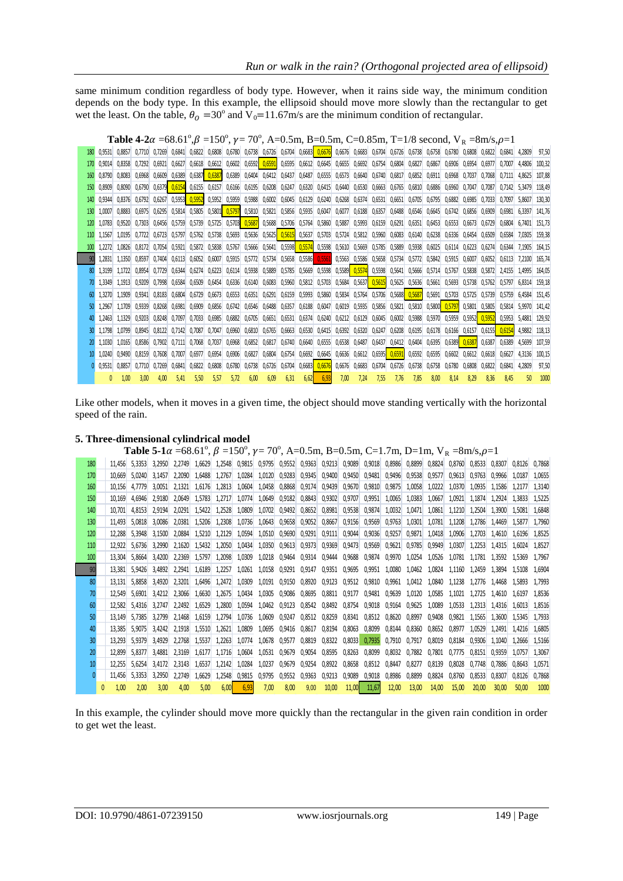same minimum condition regardless of body type. However, when it rains side way, the minimum condition depends on the body type. In this example, the ellipsoid should move more slowly than the rectangular to get wet the least. On the table,  $\theta_0 = 30^\circ$  and  $V_0 = 11.67$  m/s are the minimum condition of rectangular.

|     |        |               |               |                   |        |               |        |                             |                      |        |        | <b>Table 4-2</b> $\alpha$ =68.61°, $\beta$ =150°, $\gamma$ = 70°, A=0.5m, B=0.5m, C=0.85m, T=1/8 second, V <sub>R</sub> =8m/s, $\rho$ =1    |      |                                                  |      |      |      |                             |        |                 |        |                   |        |              |        |
|-----|--------|---------------|---------------|-------------------|--------|---------------|--------|-----------------------------|----------------------|--------|--------|---------------------------------------------------------------------------------------------------------------------------------------------|------|--------------------------------------------------|------|------|------|-----------------------------|--------|-----------------|--------|-------------------|--------|--------------|--------|
| 180 |        | 0.9531 0.8857 |               |                   |        |               |        |                             |                      |        |        | 0,7710 0,7269 0,6841 0,6822 0,6808 0,6780 0,6738 0,6726 0,6704 0,6683 0,6676 0,6676 0,6683 0,6704 0,6726 0,6738 0,6758 0,6758 0,6790 0,6808 |      |                                                  |      |      |      |                             |        |                 |        | 0.6822            | 0.6841 | 4.2809       | 97.50  |
| 170 | 0.9014 | 0.8358        |               | $0.7292$ $0.6921$ | 0.6627 |               |        |                             |                      |        |        | 0,6618 0,6612 0,6602 0,6592 0,6591 0,6595 0,6612 0,6645 0,6655 0,6692 0,6754 0,6804 0,6827                                                  |      |                                                  |      |      |      |                             | 0.6867 | 0.6906          | 0.6954 | 0.6977            | 0.7007 | 4.4806       | 100.32 |
| 160 | 0.8790 | 0.8083        | 0.6968        | 0.6609            | 0.6389 |               |        |                             |                      |        |        | 0,6387 0,6387 0,6389 0,6404 0,6412 0,6437 0,6487                                                                                            |      | 0,6555 0,6573                                    |      |      |      | 0,6640 0,6740 0,6817 0,6852 | 0.6911 | 0.6968          | 0.7037 | 0.7068            | 0.7111 | 4.8625       | 107.88 |
| 150 | 0.8909 | 0.8090        | 0.6790        | 0.6379            |        |               |        |                             |                      |        |        | $0,6154$ 0,6155 0,6157 0,6166 0,6195 0,6208 0,6247 0,6320 0,6415 0,6440 0,6530 0,6663 0,6765 0,6810 0,6886                                  |      |                                                  |      |      |      |                             |        | 0.6960          | 0.7047 | 0.7087            | 0.7142 | 5.3479       | 118.49 |
| 140 | 0.9344 | 0.8376        | 0.6792        | 0.6267            |        |               |        |                             |                      |        |        | 0,5953 0,5952 0,5952 0,5959 0,5988 0,6002 0,6045 0,6129 0,6240 0,6268 0,6374 0,6531 0,6651 0,6705 0,6795                                    |      |                                                  |      |      |      |                             |        | 0.6882          | 0.6985 | 0.7033            | 0.7097 | 5.8607       | 130.30 |
| 130 | 1.0007 | 0.8883        | 0.6975        | 0.6295            |        | 0,5814 0,5805 |        | 0,5801 0,5797 0,5810 0,5821 |                      |        |        | 0,5856 0,5935 0,6047 0,6077 0,6188 0,6357 0,6488 0,6546 0,6645                                                                              |      |                                                  |      |      |      |                             |        | 0.6742          | 0.6856 | 0.6909            | 0.6981 | 6.3397       | 141.76 |
|     | 1.0783 | 0.9520        | 0.7303        | 0.6456            | 0.5759 | 0.5739        |        |                             |                      |        |        | 0,5725 0,5703 0,5687 0,5688 0,5706 0,5764 0,5860 0,5887 0,5993 0,6159 0,6291 0,6351 0,6453                                                  |      |                                                  |      |      |      |                             |        | 0.6553          | 0.6673 | 0.6729            | 0.6804 | 6.7401       | 151.73 |
|     | 1.1567 | 1.0195        | 0.7722        | 0.6723            | 0.5797 |               |        |                             |                      |        |        | 0,5762 0,5738 0,5693 0,5636 0,5625 0,5615 0,5637 0,5703 0,5724 0,5812 0,5960 0,6083 0,6140 0,6238                                           |      |                                                  |      |      |      |                             |        | 0,6336          | 0.6454 | 0.6509            | 0.6584 | 7.0305       | 159.38 |
|     | 1.2272 | 1.0826        | 0.8172 0.7054 |                   | 0,5921 |               |        |                             |                      |        |        | 0,5872 0,5838 0,5767 0,5666 0,5641 0,5598 0,5574 0,5598 0,5610 0,5669 0,5785 0,5889 0,5938 0,6025                                           |      |                                                  |      |      |      |                             |        | 0,6114          | 0,6223 | 0,6274            | 0.6344 | 7.1905       | 164.15 |
|     | 1.2831 | 1.1350        | 0.8597        | 0.7404            | 0.6113 | 0.6052        |        | 0,6007 0,5915 0,5772 0,5734 |                      |        |        | 0,5658 0,5586 0,5561 0,5563 0,5586 0,5658 0,5734 0,5772 0,5842                                                                              |      |                                                  |      |      |      |                             |        | 0.5915          | 0.6007 | 0.6052            | 0.6113 | 7.2100       | 165.74 |
|     | 1.3199 | 1.1722        | 0.8954        | 0.7729            | 0.6344 | 0.6274        |        | 0,6223 0,6114 0,5938 0,5889 |                      |        |        | 0,5785 0,5669 0,5598 0,5589 0,5574 0,5598 0,5641 0,5666 0,5714                                                                              |      |                                                  |      |      |      |                             |        | 0.5767          | 0.5838 | 0.5872            | 2.4155 | 1.4995       | 164.05 |
|     | 1.3349 | 1.1913        | 0.9209        | 0.7998            | 0.6584 | 0.6509        | 0.6454 |                             | 0,6336 0,6140 0,6083 |        |        | 0,5960 0,5812                                                                                                                               |      | 0,5703 0,5684 0,5637 0,5615 0,5625 0,5636 0,5661 |      |      |      |                             |        | 0.5693          | 0.5738 | 0.5762            | 0.5797 | 6.8314       | 159.18 |
|     | 1.3270 | 1.1909        | 0.9341        | 0,8183            | 0,6804 | 0,6729        |        | 0,6673 0,6553 0,6351 0,6291 |                      |        |        | 0,6159 0,5993 0,5860 0,5834 0,5764 0,5706 0,5688 0,5687 0,5691 0,5703                                                                       |      |                                                  |      |      |      |                             |        |                 | 0,5725 | 0.5739            | 0.5759 | 6.4584       | 151.45 |
|     | 1.2967 | 1.1709        | 0.9339        | 0.8268            | 0.6981 | 0.6909        |        |                             |                      |        |        | 0,6856 0,6742 0,6546 0,6488 0,6357 0,6188 0,6047 0,6019 0,5935 0,5856 0,5821 0,5810 0,5800 0,5797                                           |      |                                                  |      |      |      |                             |        |                 |        | 0,5801 0,5805     | 0.5814 | 5.9970       | 141.42 |
|     | 1.2463 | 1.1329        | 0.9203        | 0.8248            | 0.7097 | 0.7033        |        | 0,6985 0,6882 0,6705 0,6651 |                      |        |        | 0,6531 0,6374 0,6240 0,6212 0,6129 0,6045 0,6002 0,5988                                                                                     |      |                                                  |      |      |      |                             |        | 0,5970 0,5959   |        | $0.5952$ $0.5952$ | 0.5953 | 5.4881       | 129.92 |
|     | 1.1798 | 1.0799        | 0.8945        | 0.8122            | 0.7142 | 0.7087        |        | 0.7047 0.6960 0.6810        |                      | 0.6765 | 0.6663 |                                                                                                                                             |      | 0.6530 0.6415 0.6392 0.6320                      |      |      |      | 0.6247 0.6208 0.6195        | 0.6178 | 0.6166          | 0.6157 | 0.6155            | 0.6154 | 4.9882       | 118.13 |
|     | 1.1030 | 1.0165        | 0.8586        | 0.7902            |        | 0.7111 0.7068 |        | 0,7037 0,6968 0,6852 0,6817 |                      |        |        | 0,6740 0,6640 0,6555 0,6538 0,6487 0,6437 0,6412 0,6404 0,6395                                                                              |      |                                                  |      |      |      |                             |        | 0.6389   0.6387 |        | 0,6387            | 0.6389 | 4,5699       | 107.59 |
|     | 1.0240 | 0.9490        | 0.8159        | 0.7608            | 0.7007 | 0.6977        |        |                             |                      |        |        | 0,6954 0,6906 0,6827 0,6804 0,6754 0,6692 0,6645 0,6636 0,6612 0,6595 0,6591 0,6592 0,6595                                                  |      |                                                  |      |      |      |                             |        | 0,6602 0,6612   |        | 0.6618            | 0.6627 | 4.3136       | 100.15 |
|     | 0.9531 | 0.8857        |               | 0.7710 0.7269     | 0.6841 | 0.6822        |        |                             |                      |        |        | 0,6808 0,6780 0,6738 0,6726 0,6704 0,6683 0,6676 0,6676 0,6683 0,6704 0,6726 0,6738 0,6758                                                  |      |                                                  |      |      |      |                             |        | 0.6780          | 0.6808 | 0.6822            | 0.6841 | 4.2809       | 97.50  |
|     |        | 1.00          | 3.00          | 4.00              | 5.41   | 5.50          | 5.57   | 5.72                        | 6.00                 | 6.09   | 6,31   | 6.62                                                                                                                                        | 6,93 | 7.00                                             | 7.24 | 7.55 | 7.76 | 7.85                        | 8.00   | 8.14            | 8.29   | 8.36              | 8.45   | $50^{\circ}$ | 1000   |

Like other models, when it moves in a given time, the object should move standing vertically with the horizontal speed of the rain.

|  |  |  | 5. Three-dimensional cylindrical model |  |
|--|--|--|----------------------------------------|--|
|--|--|--|----------------------------------------|--|

**Table 5-1** $\alpha$  =68.61°,  $\beta$  =150°,  $\gamma$ =70°, A=0.5m, B=0.5m, C=1.7m, D=1m, V<sub>R</sub> =8m/s, $\rho$ =1

 11,456 5,3353 3,2950 2,2749 1,6629 1,2548 0,9815 0,9795 0,9552 0,9363 0,9213 0,9089 0,9018 0,8986 0,8899 0,8824 0,8760 0,8533 0,8307 0,8126 0,7868 10,669 5,0240 3,1457 2,2090 1,6488 1,2767 1,0284 1,0120 0,9283 0,9345 0,9400 0,9450 0,9481 0,9496 0,9538 0,9577 0,9613 0,9763 0,9966 1,0187 1,0655 10,156 4,7779 3,0051 2,1321 1,6176 1,2813 1,0604 1,0458 0,8868 0,9174 0,9439 0,9670 0,9810 0,9875 1,0058 1,0222 1,0370 1,0935 1,1586 1,2177 1,3140 10,169 4,6946 2,9180 2,0649 1,5783 1,2717 1,0774 1,0649 0,9182 0,8843 0,9302 0,9707 0,9951 1,0065 1,0383 1,0667 1,0921 1,1874 1,2924 1,3833 1,5225 10,701 4,8153 2,9194 2,0291 1,5422 1,2528 1,0809 1,0702 0,9492 0,8652 0,8981 0,9538 0,9874 1,0032 1,0471 1,0861 1,1210 1,2504 1,3900 1,5081 1,6848 11,493 5,0818 3,0086 2,0381 1,5206 1,2308 1,0736 1,0643 0,9658 0,9052 0,8667 0,9156 0,9569 0,9763 1,0301 1,0781 1,1208 1,2786 1,4469 1,5877 1,7960 12,288 5,3948 3,1500 2,0884 1,5210 1,2129 1,0594 1,0510 0,9690 0,9291 0,9111 0,9044 0,9036 0,9257 0,9871 1,0418 1,0906 1,2703 1,4610 1,6196 1,8525 12,922 5,6736 3,2990 2,1620 1,5432 1,2050 1,0434 1,0350 0,9613 0,9373 0,9369 0,9473 0,9569 0,9621 0,9785 0,9949 1,0307 1,2253 1,4315 1,6024 1,8527 13,304 5,8664 3,4200 2,2369 1,5797 1,2098 1,0309 1,0218 0,9464 0,9314 0,9444 0,9688 0,9874 0,9970 1,0254 1,0526 1,0781 1,1781 1,3592 1,5369 1,7967 13,381 5,9426 3,4892 2,2941 1,6189 1,2257 1,0261 1,0158 0,9291 0,9147 0,9351 0,9695 0,9951 1,0080 1,0462 1,0824 1,1160 1,2459 1,3894 1,5108 1,6904 13,131 5,8858 3,4920 2,3201 1,6496 1,2472 1,0309 1,0191 0,9150 0,8920 0,9123 0,9512 0,9810 0,9961 1,0412 1,0840 1,1238 1,2776 1,4468 1,5893 1,7993 12,549 5,6901 3,4212 2,3066 1,6630 1,2675 1,0434 1,0305 0,9086 0,8695 0,8811 0,9177 0,9481 0,9639 1,0120 1,0585 1,1021 1,2725 1,4610 1,6197 1,8536 12,582 5,4316 3,2747 2,2492 1,6529 1,2800 1,0594 1,0462 0,9123 0,8542 0,8492 0,8754 0,9018 0,9164 0,9625 1,0089 1,0533 1,2313 1,4316 1,6013 1,8516 13,149 5,7385 3,2799 2,1468 1,6159 1,2794 1,0736 1,0609 0,9247 0,8512 0,8259 0,8341 0,8512 0,8620 0,8997 0,9408 0,9821 1,1565 1,3600 1,5345 1,7933 13,385 5,9075 3,4242 2,1918 1,5510 1,2621 1,0809 1,0695 0,9416 0,8617 0,8194 0,8063 0,8099 0,8144 0,8360 0,8652 0,8977 1,0529 1,2491 1,4216 1,6805 13,293 5,9379 3,4929 2,2768 1,5537 1,2263 1,0774 1,0678 0,9577 0,8819 0,8322 0,8033 0,7935 0,7910 0,7917 0,8019 0,8184 0,9306 1,1040 1,2666 1,5166 12,899 5,8377 3,4881 2,3169 1,6177 1,1716 1,0604 1,0531 0,9679 0,9054 0,8595 0,8263 0,8099 0,8032 0,7882 0,7801 0,7775 0,8151 0,9359 1,0757 1,3067 12,255 5,6254 3,4172 2,3143 1,6537 1,2142 1,0284 1,0237 0,9679 0,9254 0,8922 0,8658 0,8512 0,8447 0,8277 0,8139 0,8028 0,7748 0,7886 0,8643 1,0571 11,456 5,3353 3,2950 2,2749 1,6629 1,2548 0,9815 0,9795 0,9552 0,9363 0,9213 0,9089 0,9018 0,8986 0,8899 0,8824 0,8760 0,8533 0,8307 0,8126 0,7868 1,00 2,00 3,00 4,00 5,00 6,00 6,93 7,00 8,00 9,00 10,00 11,00 11,67 12,00 13,00 14,00 15,00 20,00 30,00 50,00 1000

In this example, the cylinder should move more quickly than the rectangular in the given rain condition in order to get wet the least.